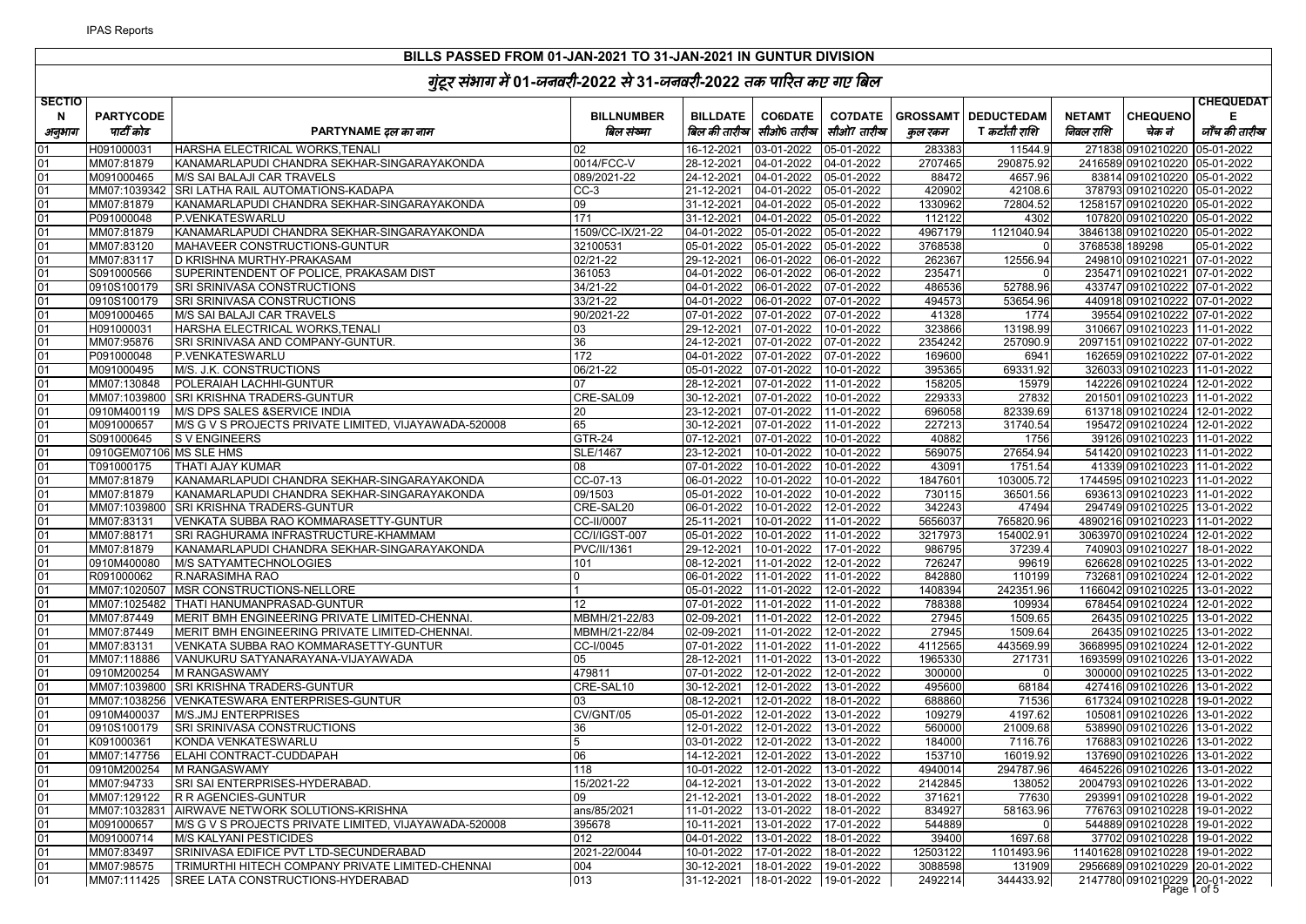| <b>SECTIO</b> |                          | ∽ت                                                                                             |                                |                          |                                     |                |                  |                     |                |                                                               | <b>CHEQUEDAT</b> |
|---------------|--------------------------|------------------------------------------------------------------------------------------------|--------------------------------|--------------------------|-------------------------------------|----------------|------------------|---------------------|----------------|---------------------------------------------------------------|------------------|
| N             | <b>PARTYCODE</b>         |                                                                                                | <b>BILLNUMBER</b>              | <b>BILLDATE</b>          | <b>CO6DATE</b>                      | <b>CO7DATE</b> | <b>GROSSAMT</b>  | <b>DEDUCTEDAM</b>   | <b>NETAMT</b>  | <b>CHEQUENO</b>                                               | Е                |
| अनुभाग        | पार्टी कोड               | PARTYNAME दल का नाम                                                                            | बिल संख्या                     |                          | बिल की तारीख  सीओ6 तारीख            | सीओ7 तारीख     | कुल रकम          | T <i>कटौती राशि</i> | निवल राशि      | चेक नं                                                        | जाँच की तारीख    |
| በ1            | H091000031               | HARSHA ELECTRICAL WORKS, TENALI                                                                | 02                             | 16-12-2021               | 03-01-2022                          | 05-01-2022     | 28338            | 11544.9             |                | 271838 0910210220                                             | 05-01-2022       |
| 01            | MM07:81879               | KANAMARLAPUDI CHANDRA SEKHAR-SINGARAYAKONDA                                                    | 0014/FCC-V                     | 28-12-2021               | 04-01-2022                          | 04-01-2022     | 2707465          | 290875.92           |                | 2416589 0910210220 05-01-2022                                 |                  |
| 01            | M091000465               | M/S SAI BALAJI CAR TRAVELS                                                                     | 089/2021-22                    | 24-12-2021               | 04-01-2022                          | 05-01-2022     | 88472            | 4657.96             |                | 83814 0910210220 05-01-2022                                   |                  |
| 01            |                          | MM07:1039342 SRI LATHA RAIL AUTOMATIONS-KADAPA                                                 | $CC-3$                         |                          | 21-12-2021 04-01-2022 05-01-2022    |                | 420902           | 42108.6             |                | 378793 0910210220 05-01-2022                                  |                  |
| 01            | MM07:81879               | KANAMARLAPUDI CHANDRA SEKHAR-SINGARAYAKONDA                                                    | 09                             | 31-12-2021               | 04-01-2022 05-01-2022               |                | 1330962          | 72804.52            |                | 1258157 0910210220 05-01-2022                                 |                  |
| 01            | P091000048               | P.VENKATESWARLU                                                                                | 171                            | 31-12-2021               | 04-01-2022 05-01-2022               |                | 112122           | 4302                |                | 107820 0910210220 05-01-2022                                  |                  |
| 01            | MM07:81879               | KANAMARLAPUDI CHANDRA SEKHAR-SINGARAYAKONDA                                                    | 1509/CC-IX/21-22               | 04-01-2022               | 05-01-2022                          | 05-01-2022     | 4967179          | 1121040.94          |                | 3846138 0910210220 05-01-2022                                 |                  |
| 01            | MM07:83120               | MAHAVEER CONSTRUCTIONS-GUNTUR                                                                  | 32100531                       | 05-01-2022               | 05-01-2022 05-01-2022               |                | 3768538          |                     | 3768538 189298 |                                                               | 05-01-2022       |
| 01            | MM07:83117               | D KRISHNA MURTHY-PRAKASAM                                                                      | 02/21-22                       | 29-12-2021               | 06-01-2022 06-01-2022               |                | 26236            | 12556.94            |                | 249810 0910210221 07-01-2022                                  |                  |
| 01            | S091000566               | SUPERINTENDENT OF POLICE, PRAKASAM DIST                                                        | 361053                         |                          | 04-01-2022 06-01-2022 06-01-2022    |                | 23547            |                     |                | 235471 0910210221 07-01-2022                                  |                  |
| 01            | 0910S100179              | <b>SRI SRINIVASA CONSTRUCTIONS</b>                                                             | 34/21-22                       |                          | 04-01-2022 06-01-2022 07-01-2022    |                | 48653            | 52788.96            |                | 433747 0910210222 07-01-2022                                  |                  |
| 01            | 0910S100179              | SRI SRINIVASA CONSTRUCTIONS                                                                    | $33/21 - 22$                   | 04-01-2022               | 06-01-2022 07-01-2022               |                | 49457            | 53654.96            |                | 440918 0910210222 07-01-2022                                  |                  |
| 01            | M091000465               | M/S SAI BALAJI CAR TRAVELS                                                                     | 90/2021-22                     | 07-01-2022               | 07-01-2022 07-01-2022               |                | 41328            | 1774                |                | 39554 0910210222 07-01-2022                                   |                  |
| 01            | H091000031               | HARSHA ELECTRICAL WORKS, TENALI                                                                | 03                             | 29-12-2021               | 07-01-2022 10-01-2022               |                | 323866           | 13198.99            |                | 310667 0910210223 11-01-2022                                  |                  |
| 01            | MM07:95876               | SRI SRINIVASA AND COMPANY-GUNTUR.                                                              | 36                             |                          | 24-12-2021 07-01-2022 07-01-2022    |                | 2354242          | 257090.9            |                | 2097151 0910210222 07-01-2022                                 |                  |
| 01            | P091000048               | P.VENKATESWARLU                                                                                | 172                            | 04-01-2022               | 07-01-2022 07-01-2022               |                | 169600           | 6941                |                | 162659 0910210222 07-01-2022                                  |                  |
| 01            | M091000495               | M/S. J.K. CONSTRUCTIONS                                                                        | 06/21-22                       | 05-01-2022               | 07-01-2022 10-01-2022               |                | 395365           | 69331.92            |                | 326033 0910210223 11-01-2022                                  |                  |
| 01            | MM07:130848              | POLERAIAH LACHHI-GUNTUR                                                                        | 07                             | 28-12-2021               | 07-01-2022 11-01-2022               |                | 158205           | 15979               |                | 142226 0910210224 12-01-2022                                  |                  |
| 01            |                          | MM07:1039800 SRI KRISHNA TRADERS-GUNTUR                                                        | CRE-SAL09                      | 30-12-2021               | 07-01-2022                          | 10-01-2022     | 229333           | 27832               |                | 201501 0910210223 11-01-2022                                  |                  |
| 01            | 0910M400119              | M/S DPS SALES & SERVICE INDIA                                                                  | 20                             | 23-12-2021               | 07-01-2022 11-01-2022               |                | 696058           | 82339.69            |                | 613718 0910210224 12-01-2022                                  |                  |
| 01            | M091000657               | M/S G V S PROJECTS PRIVATE LIMITED, VIJAYAWADA-520008                                          | 65                             | 30-12-2021               | 07-01-2022 11-01-2022               |                | 227213           | 31740.54            |                | 195472 0910210224 12-01-2022                                  |                  |
| 01            | S091000645               | S V ENGINEERS                                                                                  | <b>GTR-24</b>                  | 07-12-2021               | 07-01-2022 10-01-2022               |                | 40882            | 1756                |                | 39126 0910210223 11-01-2022                                   |                  |
| 01            | 0910GEM07106 MS SLE HMS  |                                                                                                | <b>SLE/1467</b>                | 23-12-2021               | 10-01-2022 10-01-2022               |                | 56907            | 27654.94            |                | 541420 0910210223 11-01-2022                                  |                  |
| 01            | T091000175               | <b>THATI AJAY KUMAR</b>                                                                        | 08                             | 07-01-2022               | 10-01-2022 10-01-2022               |                | 43091            | 1751.54             |                | 41339 0910210223 11-01-2022                                   |                  |
| 01            | MM07:81879               | KANAMARLAPUDI CHANDRA SEKHAR-SINGARAYAKONDA                                                    | CC-07-13                       | 06-01-2022               | 10-01-2022                          | 10-01-2022     | 1847601<br>73011 | 103005.72           |                | 1744595 0910210223 11-01-2022                                 |                  |
| 01            | MM07:81879               | KANAMARLAPUDI CHANDRA SEKHAR-SINGARAYAKONDA                                                    | 09/1503                        | 05-01-2022               | 10-01-2022 10-01-2022               |                |                  | 36501.56            |                | 693613 0910210223 11-01-2022                                  |                  |
| 01            | MM07:1039800             | SRI KRISHNA TRADERS-GUNTUR                                                                     | CRE-SAL20                      | 06-01-2022               | 10-01-2022 12-01-2022               |                | 34224            | 47494               |                | 294749 0910210225 13-01-2022                                  |                  |
| 01            | MM07:83131               | VENKATA SUBBA RAO KOMMARASETTY-GUNTUR                                                          | CC-II/0007                     | 25-11-2021               | 10-01-2022 11-01-2022               |                | 5656037          | 765820.96           |                | 4890216 0910210223 11-01-2022                                 |                  |
| 01<br>01      | MM07:88171               | SRI RAGHURAMA INFRASTRUCTURE-KHAMMAM                                                           | CC/I/IGST-007                  | 05-01-2022               | 10-01-2022 11-01-2022               |                | 3217973          | 154002.91           |                | 3063970 0910210224 12-01-2022                                 |                  |
|               | MM07:81879               | KANAMARLAPUDI CHANDRA SEKHAR-SINGARAYAKONDA                                                    | PVC/II/1361                    | 29-12-2021               | 10-01-2022 17-01-2022               |                | 98679<br>72624   | 37239.4             |                | 740903 0910210227 18-01-2022                                  |                  |
| 01            | 0910M400080              | M/S SATYAMTECHNOLOGIES                                                                         | 101                            | 08-12-2021               | 11-01-2022                          | 12-01-2022     |                  | 99619               |                | 626628 0910210225 13-01-2022                                  |                  |
| 01            | R091000062               | R.NARASIMHA RAO                                                                                |                                | 06-01-2022               | 11-01-2022                          | 11-01-2022     | 84288            | 110199              |                | 732681 0910210224 12-01-2022                                  |                  |
| 01<br>01      |                          | MM07:1020507 MSR CONSTRUCTIONS-NELLORE                                                         |                                | 05-01-2022               | 11-01-2022 12-01-2022               |                | 1408394<br>78838 | 242351.96<br>109934 |                | 1166042 0910210225 13-01-2022                                 |                  |
|               |                          | MM07:1025482   THATI HANUMANPRASAD-GUNTUR                                                      | 12                             | 07-01-2022               | 11-01-2022 11-01-2022               |                | 27945            | 1509.65             |                | 678454 0910210224 12-01-2022                                  |                  |
| 01<br>01      | MM07:87449<br>MM07:87449 | MERIT BMH ENGINEERING PRIVATE LIMITED-CHENNAI<br>MERIT BMH ENGINEERING PRIVATE LIMITED-CHENNAI | MBMH/21-22/83<br>MBMH/21-22/84 | 02-09-2021<br>02-09-2021 | 11-01-2022 12-01-2022<br>11-01-2022 | 12-01-2022     | 2794             | 1509.64             |                | 26435 0910210225 13-01-2022<br>26435 0910210225 13-01-2022    |                  |
| 01            | MM07:83131               |                                                                                                | CC-I/0045                      |                          | 11-01-2022 11-01-2022               |                | 4112565          | 443569.99           |                | 3668995 0910210224 12-01-2022                                 |                  |
| 01            | MM07:118886              | VENKATA SUBBA RAO KOMMARASETTY-GUNTUR                                                          | 05                             | 07-01-2022               | 11-01-2022 13-01-2022               |                | 196533           | 271731              |                |                                                               |                  |
| 01            |                          | VANUKURU SATYANARAYANA-VIJAYAWADA<br>0910M200254   M RANGASWAMY                                | 479811                         | 28-12-2021<br>07-01-2022 | 12-01-2022 12-01-2022               |                | 300000           |                     |                | 1693599 0910210226 13-01-2022<br>300000 0910210225 13-01-2022 |                  |
| 01            | MM07:1039800             | SRI KRISHNA TRADERS-GUNTUR                                                                     | CRE-SAL10                      | 30-12-2021               | 12-01-2022 13-01-2022               |                | 49560            | 68184               |                | 427416 0910210226 13-01-2022                                  |                  |
| 01            |                          | MM07:1038256 VENKATESWARA ENTERPRISES-GUNTUR                                                   | 03                             | 08-12-2021               | 12-01-2022 18-01-2022               |                | 68886            | 71536               |                | 617324 0910210228 19-01-2022                                  |                  |
| 01            | 0910M400037              | M/S.JMJ ENTERPRISES                                                                            | CV/GNT/05                      | 05-01-2022               | 12-01-2022                          | 13-01-2022     | 109279           | 4197.62             |                | 105081 0910210226 13-01-2022                                  |                  |
| 01            | 0910S100179              | SRI SRINIVASA CONSTRUCTIONS                                                                    | 36                             | 12-01-2022               | 12-01-2022 13-01-2022               |                | 56000            | 21009.68            |                | 538990 0910210226 13-01-2022                                  |                  |
| 01            | K091000361               | KONDA VENKATESWARLU                                                                            |                                | 03-01-2022               | 12-01-2022                          | 13-01-2022     | 18400            | 7116.76             |                | 176883 0910210226 13-01-2022                                  |                  |
| 01            | MM07:147756              | <b>ELAHI CONTRACT-CUDDAPAH</b>                                                                 | 06                             | 14-12-2021               | 12-01-2022 13-01-2022               |                | 153710           | 16019.92            |                | 137690 0910210226 13-01-2022                                  |                  |
| 01            | 0910M200254              | M RANGASWAMY                                                                                   | 118                            | 10-01-2022               | 12-01-2022 13-01-2022               |                | 4940014          | 294787.96           |                | 4645226 0910210226 13-01-2022                                 |                  |
| 01            | MM07:94733               | SRI SAI ENTERPRISES-HYDERABAD.                                                                 | 15/2021-22                     | 04-12-2021               | 13-01-2022 13-01-2022               |                | 2142845          | 138052              |                | 2004793 0910210226 13-01-2022                                 |                  |
| 01            |                          | MM07:129122 R R AGENCIES-GUNTUR                                                                | 09                             | 21-12-2021               | 13-01-2022 18-01-2022               |                | 371621           | 77630               |                | 293991 0910210228 19-01-2022                                  |                  |
| 01            |                          | MM07:1032831 AIRWAVE NETWORK SOLUTIONS-KRISHNA                                                 | ans/85/2021                    | 11-01-2022               | 13-01-2022  18-01-2022              |                | 834927           | 58163.96            |                | 776763 0910210228 19-01-2022                                  |                  |
| 01            | M091000657               | M/S G V S PROJECTS PRIVATE LIMITED, VIJAYAWADA-520008                                          | 395678                         | 10-11-2021               | 13-01-2022 17-01-2022               |                | 544889           | $\Omega$            |                | 544889 0910210228 19-01-2022                                  |                  |
| 01            | M091000714               | M/S KALYANI PESTICIDES                                                                         | 012                            | 04-01-2022               | 13-01-2022                          | 18-01-2022     | 39400            | 1697.68             |                | 37702 0910210228 19-01-2022                                   |                  |
| 01            | MM07:83497               | SRINIVASA EDIFICE PVT LTD-SECUNDERABAD                                                         | 2021-22/0044                   | 10-01-2022               |                                     |                | 12503122         | 1101493.96          |                | 11401628 0910210228 19-01-2022                                |                  |
| 01            | MM07:98575               | TRIMURTHI HITECH COMPANY PRIVATE LIMITED-CHENNAI                                               | 004                            | 30-12-2021               | 18-01-2022                          | 19-01-2022     | 3088598          | 131909              |                | 2956689 0910210229 20-01-2022                                 |                  |
| 01            |                          | MM07:111425 SREE LATA CONSTRUCTIONS-HYDERABAD                                                  | 013                            |                          |                                     |                | 2492214          | 344433.92           |                |                                                               |                  |
|               |                          |                                                                                                |                                |                          |                                     |                |                  |                     |                | 2147780 0910210229 20-01-2022                                 |                  |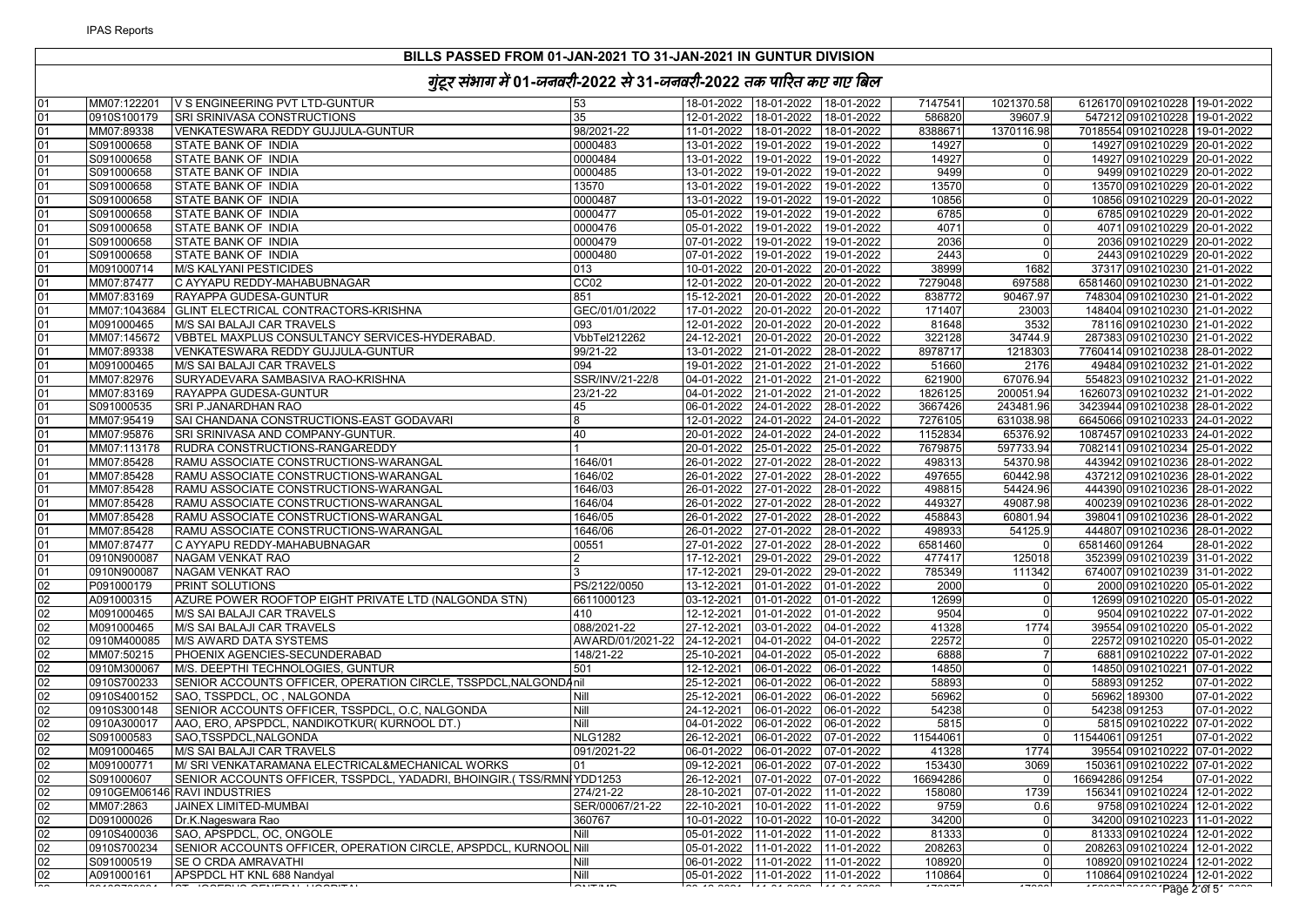| 01 | MM07:122201  | V S ENGINEERING PVT LTD-GUNTUR                                       | 53               |            |                                    |            | 7147541  | 1021370.58     | 6126170 0910210228 19-01-2022 |            |
|----|--------------|----------------------------------------------------------------------|------------------|------------|------------------------------------|------------|----------|----------------|-------------------------------|------------|
| 01 | 0910S100179  | SRI SRINIVASA CONSTRUCTIONS                                          | 35               |            | 12-01-2022 18-01-2022 18-01-2022   |            | 586820   | 39607.9        | 547212 0910210228 19-01-2022  |            |
| 01 | MM07:89338   | VENKATESWARA REDDY GUJJULA-GUNTUR                                    | 98/2021-22       |            | 11-01-2022 18-01-2022 18-01-2022   |            | 8388671  | 1370116.98     | 7018554 0910210228 19-01-2022 |            |
| 01 | S091000658   | STATE BANK OF INDIA                                                  | 0000483          |            | 13-01-2022 19-01-2022 19-01-2022   |            | 14927    | $\Omega$       | 14927 0910210229 20-01-2022   |            |
| 01 | S091000658   | STATE BANK OF INDIA                                                  | 0000484          |            | 13-01-2022 19-01-2022 19-01-2022   |            | 14927    | $\Omega$       | 14927 0910210229 20-01-2022   |            |
| 01 | S091000658   | STATE BANK OF INDIA                                                  | 0000485          |            | 13-01-2022 19-01-2022 19-01-2022   |            | 9499     | $\overline{0}$ | 9499 0910210229 20-01-2022    |            |
| 01 | S091000658   | STATE BANK OF INDIA                                                  | 13570            |            | 13-01-2022  19-01-2022  19-01-2022 |            | 13570    | $\Omega$       | 13570 0910210229 20-01-2022   |            |
| 01 | S091000658   | STATE BANK OF INDIA                                                  | 0000487          |            | 13-01-2022 19-01-2022 19-01-2022   |            | 10856    | $\overline{0}$ | 10856 0910210229 20-01-2022   |            |
| 01 | S091000658   | STATE BANK OF INDIA                                                  | 0000477          |            | 05-01-2022 19-01-2022 19-01-2022   |            | 6785     | $\Omega$       | 6785 0910210229 20-01-2022    |            |
| 01 | S091000658   | STATE BANK OF INDIA                                                  | 0000476          |            | 05-01-2022 19-01-2022              | 19-01-2022 | 4071     | $\Omega$       | 4071 0910210229 20-01-2022    |            |
| 01 | S091000658   | STATE BANK OF INDIA                                                  | 0000479          |            | 07-01-2022 19-01-2022              | 19-01-2022 | 2036     | $\Omega$       | 2036 0910210229 20-01-2022    |            |
| 01 | S091000658   | STATE BANK OF INDIA                                                  | 0000480          |            | 07-01-2022  19-01-2022  19-01-2022 |            | 2443     | $\Omega$       | 2443 0910210229 20-01-2022    |            |
| 01 | M091000714   | <b>M/S KALYANI PESTICIDES</b>                                        | 013              |            | 10-01-2022 20-01-2022 20-01-2022   |            | 38999    | 1682           | 37317 0910210230 21-01-2022   |            |
| 01 | MM07:87477   | C AYYAPU REDDY-MAHABUBNAGAR                                          | CC <sub>02</sub> |            | 12-01-2022 20-01-2022 20-01-2022   |            | 7279048  | 697588         | 6581460 0910210230 21-01-2022 |            |
| 01 | MM07:83169   | RAYAPPA GUDESA-GUNTUR                                                | 851              |            | 15-12-2021 20-01-2022 20-01-2022   |            | 838772   | 90467.97       | 748304 0910210230 21-01-2022  |            |
| 01 | MM07:1043684 | GLINT ELECTRICAL CONTRACTORS-KRISHNA                                 | GEC/01/01/2022   |            | 17-01-2022 20-01-2022 20-01-2022   |            | 171407   | 23003          | 148404 0910210230 21-01-2022  |            |
| 01 | M091000465   | M/S SAI BALAJI CAR TRAVELS                                           | 093              |            | 12-01-2022 20-01-2022 20-01-2022   |            | 81648    | 3532           | 78116 0910210230 21-01-2022   |            |
| 01 | MM07:145672  | VBBTEL MAXPLUS CONSULTANCY SERVICES-HYDERABAD.                       | VbbTel212262     |            | 24-12-2021 20-01-2022 20-01-2022   |            | 322128   | 34744.9        | 287383 0910210230 21-01-2022  |            |
| 01 | MM07:89338   | VENKATESWARA REDDY GUJJULA-GUNTUR                                    | 99/21-22         |            | 13-01-2022 21-01-2022              | 28-01-2022 | 8978717  | 1218303        | 7760414 0910210238 28-01-2022 |            |
| 01 | M091000465   | M/S SAI BALAJI CAR TRAVELS                                           | 094              |            | 19-01-2022 21-01-2022 21-01-2022   |            | 51660    | 2176           | 49484 0910210232 21-01-2022   |            |
| 01 | MM07:82976   | SURYADEVARA SAMBASIVA RAO-KRISHNA                                    | SSR/INV/21-22/8  |            | 04-01-2022 21-01-2022 21-01-2022   |            | 621900   | 67076.94       | 554823 0910210232 21-01-2022  |            |
| 01 |              |                                                                      | 23/21-22         |            | 04-01-2022 21-01-2022 21-01-2022   |            | 1826125  | 200051.94      |                               |            |
|    | MM07:83169   | RAYAPPA GUDESA-GUNTUR                                                | 45               |            |                                    |            |          |                | 1626073 0910210232 21-01-2022 |            |
| 01 | S091000535   | SRI P.JANARDHAN RAO                                                  |                  |            | 06-01-2022 24-01-2022 28-01-2022   |            | 3667426  | 243481.96      | 3423944 0910210238 28-01-2022 |            |
| 01 | MM07:95419   | SAI CHANDANA CONSTRUCTIONS-EAST GODAVARI                             | 8                |            | 12-01-2022 24-01-2022 24-01-2022   |            | 7276105  | 631038.98      | 6645066 0910210233 24-01-2022 |            |
| 01 | MM07:95876   | SRI SRINIVASA AND COMPANY-GUNTUR.                                    | 40               |            | 20-01-2022 24-01-2022 24-01-2022   |            | 1152834  | 65376.92       | 1087457 0910210233 24-01-2022 |            |
| 01 | MM07:113178  | RUDRA CONSTRUCTIONS-RANGAREDDY                                       | $\mathbf{1}$     |            | 20-01-2022 25-01-2022 25-01-2022   |            | 7679875  | 597733.94      | 7082141 0910210234 25-01-2022 |            |
| 01 | MM07:85428   | RAMU ASSOCIATE CONSTRUCTIONS-WARANGAL                                | 1646/01          |            | 26-01-2022 27-01-2022 28-01-2022   |            | 498313   | 54370.98       | 443942 0910210236 28-01-2022  |            |
| 01 | MM07:85428   | RAMU ASSOCIATE CONSTRUCTIONS-WARANGAL                                | 1646/02          |            | 26-01-2022 27-01-2022 28-01-2022   |            | 497655   | 60442.98       | 437212 0910210236 28-01-2022  |            |
| 01 | MM07:85428   | RAMU ASSOCIATE CONSTRUCTIONS-WARANGAL                                | 1646/03          |            | 26-01-2022 27-01-2022 28-01-2022   |            | 498815   | 54424.96       | 444390 0910210236 28-01-2022  |            |
| 01 | MM07:85428   | RAMU ASSOCIATE CONSTRUCTIONS-WARANGAL                                | 1646/04          |            | 26-01-2022 27-01-2022 28-01-2022   |            | 449327   | 49087.98       | 400239 0910210236 28-01-2022  |            |
| 01 | MM07:85428   | RAMU ASSOCIATE CONSTRUCTIONS-WARANGAL                                | 1646/05          |            | 26-01-2022 27-01-2022 28-01-2022   |            | 458843   | 60801.94       | 398041 0910210236 28-01-2022  |            |
| 01 | MM07:85428   | RAMU ASSOCIATE CONSTRUCTIONS-WARANGAL                                | 1646/06          |            | 26-01-2022 27-01-2022 28-01-2022   |            | 498933   | 54125.9        | 444807 0910210236 28-01-2022  |            |
| 01 | MM07:87477   | C AYYAPU REDDY-MAHABUBNAGAR                                          | 00551            |            | 27-01-2022 27-01-2022 28-01-2022   |            | 6581460  |                | 6581460 091264                | 28-01-2022 |
| 01 | 0910N900087  | NAGAM VENKAT RAO                                                     |                  |            | 17-12-2021 29-01-2022              | 29-01-2022 | 477417   | 125018         | 352399 0910210239 31-01-2022  |            |
| 01 | 0910N900087  | NAGAM VENKAT RAO                                                     |                  | 17-12-2021 | 29-01-2022                         | 29-01-2022 | 785349   | 111342         | 674007 0910210239 31-01-2022  |            |
| 02 | P091000179   | PRINT SOLUTIONS                                                      | PS/2122/0050     |            | 13-12-2021 01-01-2022 01-01-2022   |            | 2000     | $\Omega$       | 2000 0910210220 05-01-2022    |            |
| 02 | A091000315   | AZURE POWER ROOFTOP EIGHT PRIVATE LTD (NALGONDA STN)                 | 6611000123       |            | 03-12-2021 01-01-2022 01-01-2022   |            | 12699    | $\Omega$       | 12699 0910210220 05-01-2022   |            |
| 02 | M091000465   | M/S SAI BALAJI CAR TRAVELS                                           | 410              |            | 12-12-2021 01-01-2022              | 01-01-2022 | 9504     | $\Omega$       | 9504 0910210222 07-01-2022    |            |
| 02 | M091000465   | M/S SAI BALAJI CAR TRAVELS                                           | 088/2021-22      |            | 27-12-2021 03-01-2022 04-01-2022   |            | 41328    | 1774           | 39554 0910210220 05-01-2022   |            |
| 02 | 0910M400085  | <b>M/S AWARD DATA SYSTEMS</b>                                        | AWARD/01/2021-22 | 24-12-2021 | 04-01-2022 04-01-2022              |            | 22572    | $\overline{0}$ | 22572 0910210220 05-01-2022   |            |
| 02 | MM07:50215   | PHOENIX AGENCIES-SECUNDERABAD                                        | 148/21-22        |            | 25-10-2021 04-01-2022 05-01-2022   |            | 6888     |                | 6881 0910210222 07-01-2022    |            |
| 02 | 0910M300067  | M/S. DEEPTHI TECHNOLOGIES, GUNTUR                                    | 501              | 12-12-2021 | 06-01-2022                         | 06-01-2022 | 14850    | $\Omega$       | 14850 0910210221 07-01-2022   |            |
| 02 | 0910S700233  | SENIOR ACCOUNTS OFFICER, OPERATION CIRCLE, TSSPDCL, NALGONDAnil      |                  |            | 25-12-2021 06-01-2022              | 06-01-2022 | 58893    | $\Omega$       | 58893 091252                  | 07-01-2022 |
| 02 | 0910S400152  | SAO, TSSPDCL, OC, NALGONDA                                           | Nill             |            | 25-12-2021 06-01-2022              | 06-01-2022 | 56962    | $\Omega$       | 56962 189300                  | 07-01-2022 |
| 02 | 0910S300148  | SENIOR ACCOUNTS OFFICER, TSSPDCL, O.C, NALGONDA                      | <b>Nill</b>      |            | 24-12-2021 06-01-2022 06-01-2022   |            | 54238    | $\overline{0}$ | 54238 091253                  | 07-01-2022 |
| 02 | 0910A300017  | AAO, ERO, APSPDCL, NANDIKOTKUR(KURNOOL DT.)                          | Nill             |            | 04-01-2022 06-01-2022 06-01-2022   |            | 5815     | $\Omega$       | 5815 0910210222 07-01-2022    |            |
| 02 | S091000583   | SAO, TSSPDCL, NALGONDA                                               | <b>NLG1282</b>   |            | 26-12-2021 06-01-2022 07-01-2022   |            | 11544061 | $\Omega$       | 11544061 091251               | 07-01-2022 |
| 02 | M091000465   | M/S SAI BALAJI CAR TRAVELS                                           | 091/2021-22      |            | 06-01-2022 06-01-2022 07-01-2022   |            | 41328    | 1774           | 39554 0910210222 07-01-2022   |            |
| 02 | M091000771   | M/ SRI VENKATARAMANA ELECTRICAL&MECHANICAL WORKS                     | 01               | 09-12-2021 | 06-01-2022                         | 07-01-2022 | 153430   | 3069           | 150361 0910210222 07-01-2022  |            |
| 02 | S091000607   | SENIOR ACCOUNTS OFFICER, TSSPDCL, YADADRI, BHOINGIR.(TSS/RMN YDD1253 |                  | 26-12-2021 | 07-01-2022                         | 07-01-2022 | 16694286 | $\Omega$       | 16694286 091254               | 07-01-2022 |
| 02 |              | 0910GEM06146 RAVI INDUSTRIES                                         | 274/21-22        | 28-10-2021 | 07-01-2022 11-01-2022              |            | 158080   | 1739           | 156341 0910210224 12-01-2022  |            |
| 02 | MM07:2863    | JAINEX LIMITED-MUMBAI                                                | SER/00067/21-22  |            | 22-10-2021 10-01-2022 11-01-2022   |            | 9759     | 0.6            | 9758 0910210224 12-01-2022    |            |
| 02 | D091000026   | Dr.K.Nageswara Rao                                                   | 360767           |            | 10-01-2022  10-01-2022  10-01-2022 |            | 34200    | $\overline{0}$ | 34200 0910210223 11-01-2022   |            |
| 02 |              |                                                                      | Nill             |            |                                    |            | 81333    | $\overline{0}$ |                               |            |
|    | 0910S400036  | SAO, APSPDCL, OC, ONGOLE                                             |                  |            | 05-01-2022 11-01-2022 11-01-2022   |            |          |                | 81333 0910210224 12-01-2022   |            |
| 02 | 0910S700234  | SENIOR ACCOUNTS OFFICER, OPERATION CIRCLE, APSPDCL, KURNOOL Nill     |                  |            | 05-01-2022 11-01-2022 11-01-2022   |            | 208263   | $\Omega$       | 208263 0910210224 12-01-2022  |            |
| 02 | S091000519   | SE O CRDA AMRAVATHI                                                  | Nill             |            | 06-01-2022 11-01-2022 11-01-2022   |            | 108920   | $\Omega$       | 108920 0910210224 12-01-2022  |            |
| 02 | A091000161   | APSPDCL HT KNL 688 Nandyal                                           | Nill             |            | 05-01-2022 11-01-2022 11-01-2022   |            | 110864   | $\Omega$       | 110864 0910210224 12-01-2022  |            |
|    |              |                                                                      |                  |            |                                    |            |          |                | Page 2 of 5                   |            |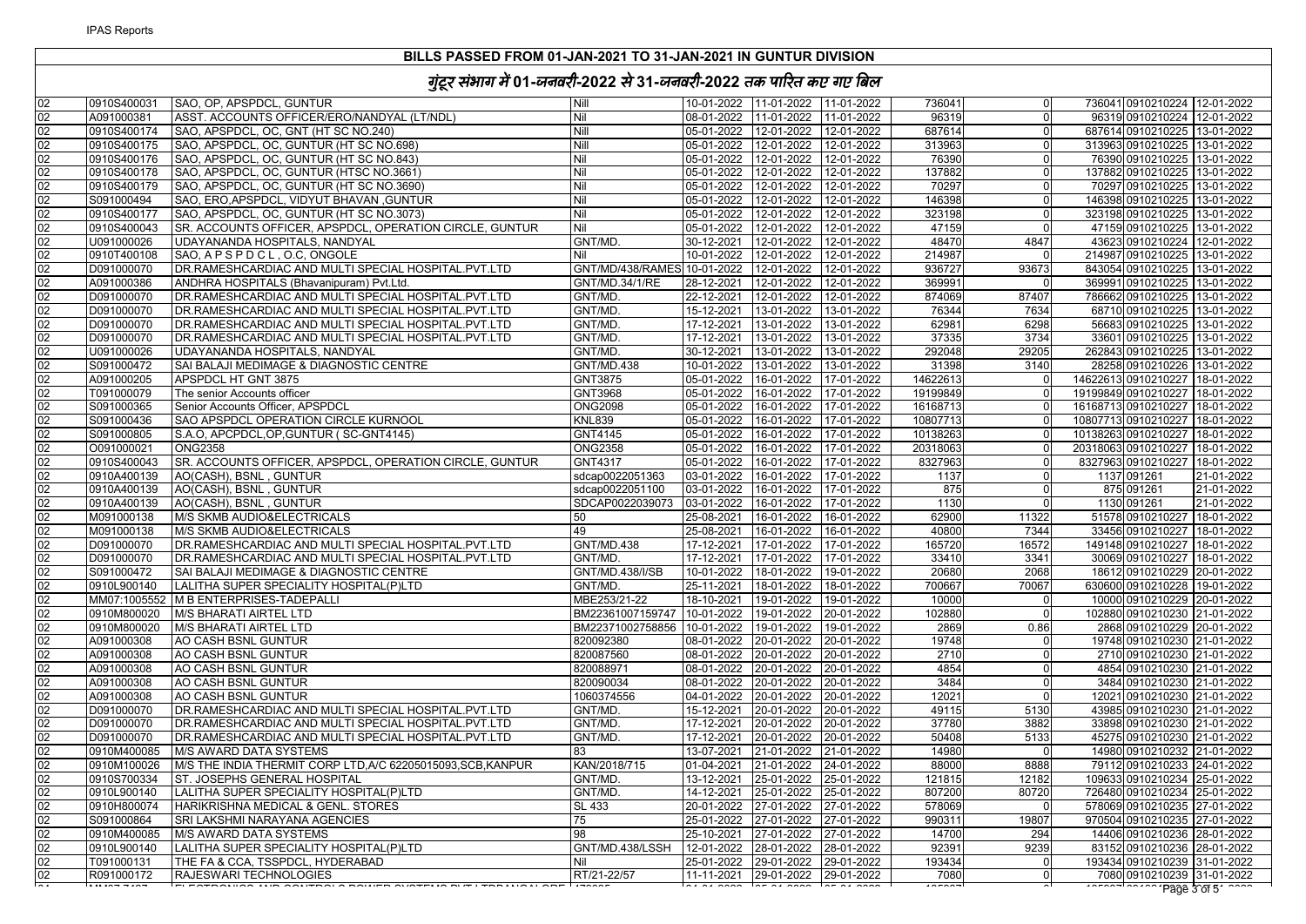| 02<br>SAO, OP, APSPDCL, GUNTUR<br>0910S400031<br>Nill<br>736041<br>736041 0910210224 12-01-2022<br>02<br>Nil<br>ASST. ACCOUNTS OFFICER/ERO/NANDYAL (LT/NDL)<br>08-01-2022 11-01-2022 11-01-2022<br>96319<br>96319 0910210224 12-01-2022<br>A091000381<br>$\Omega$<br>Nill<br>02<br>0910S400174<br>SAO, APSPDCL, OC, GNT (HT SC NO.240)<br>05-01-2022 12-01-2022 12-01-2022<br>687614<br>$\Omega$<br>687614 0910210225 13-01-2022<br>02<br>SAO, APSPDCL, OC, GUNTUR (HT SC NO.698)<br>Nill<br>313963<br>0910S400175<br>05-01-2022  12-01-2022  12-01-2022<br>313963 0910210225 13-01-2022<br>$\Omega$<br>02<br>SAO, APSPDCL, OC, GUNTUR (HT SC NO.843)<br>Nil<br>05-01-2022 12-01-2022 12-01-2022<br>76390<br>76390 0910210225 13-01-2022<br>0910S400176<br>$\Omega$<br>02<br>Nil<br>0910S400178<br>SAO, APSPDCL, OC, GUNTUR (HTSC NO.3661)<br>05-01-2022 12-01-2022 12-01-2022<br>137882<br>137882 0910210225 13-01-2022<br>$\overline{0}$<br>02<br>Nil<br>0910S400179<br>SAO, APSPDCL, OC, GUNTUR (HT SC NO.3690)<br>05-01-2022 12-01-2022 12-01-2022<br>70297<br>$\Omega$<br>70297 0910210225 13-01-2022<br>02<br>Nil<br>S091000494<br>SAO, ERO, APSPDCL, VIDYUT BHAVAN, GUNTUR<br>05-01-2022 12-01-2022 12-01-2022<br>146398<br>146398 0910210225 13-01-2022<br>$\overline{0}$<br>02<br>Nil<br>05-01-2022 12-01-2022 12-01-2022<br>323198<br>323198 0910210225 13-01-2022<br>0910S400177<br>SAO, APSPDCL, OC, GUNTUR (HT SC NO.3073)<br>$\Omega$<br>02<br>SR. ACCOUNTS OFFICER, APSPDCL, OPERATION CIRCLE, GUNTUR<br>Nil<br>05-01-2022 12-01-2022 12-01-2022<br>47159<br>47159 0910210225 13-01-2022<br>0910S400043<br>$\Omega$<br>02<br>48470<br>4847<br>U091000026<br>UDAYANANDA HOSPITALS, NANDYAL<br>GNT/MD.<br>30-12-2021 12-01-2022<br>12-01-2022<br>43623 0910210224 12-01-2022<br>02<br>0910T400108<br>SAO, APSPDCL, O.C, ONGOLE<br>Nil<br>10-01-2022<br>12-01-2022<br>12-01-2022<br>214987<br>214987 0910210225 13-01-2022<br>02<br>DR.RAMESHCARDIAC AND MULTI SPECIAL HOSPITAL.PVT.LTD<br>GNT/MD/438/RAMES 10-01-2022 12-01-2022<br>D091000070<br>12-01-2022<br>936727<br>93673<br>843054 0910210225 13-01-2022<br>02<br>A091000386<br>ANDHRA HOSPITALS (Bhavanipuram) Pvt.Ltd.<br>GNT/MD.34/1/RE<br>28-12-2021 12-01-2022 12-01-2022<br>369991<br>369991 0910210225 13-01-2022<br>02<br>874069<br>D091000070<br>DR.RAMESHCARDIAC AND MULTI SPECIAL HOSPITAL.PVT.LTD<br>GNT/MD.<br>22-12-2021<br>12-01-2022<br>12-01-2022<br>87407<br>786662 0910210225 13-01-2022<br>02<br>15-12-2021 13-01-2022 13-01-2022<br>76344<br>D091000070<br>DR.RAMESHCARDIAC AND MULTI SPECIAL HOSPITAL.PVT.LTD<br>GNT/MD.<br>7634<br>68710 0910210225 13-01-2022<br>02<br>D091000070<br>DR.RAMESHCARDIAC AND MULTI SPECIAL HOSPITAL.PVT.LTD<br>GNT/MD.<br>62981<br>6298<br>56683 0910210225 13-01-2022<br>DR.RAMESHCARDIAC AND MULTI SPECIAL HOSPITAL.PVT.LTD<br>13-01-2022<br>37335<br>3734<br>02<br>D091000070<br>GNT/MD.<br>17-12-2021<br>13-01-2022<br>33601 0910210225 13-01-2022<br>30-12-2021<br>13-01-2022<br>292048<br>29205<br>02<br>U091000026<br>UDAYANANDA HOSPITALS, NANDYAL<br>GNT/MD.<br>13-01-2022<br>262843 0910210225 13-01-2022<br>02<br>10-01-2022 13-01-2022 13-01-2022<br>31398<br>3140<br>28258 0910210226 13-01-2022<br>S091000472<br>SAI BALAJI MEDIMAGE & DIAGNOSTIC CENTRE<br><b>GNT/MD.438</b><br>02<br>05-01-2022 16-01-2022 17-01-2022<br>14622613<br>A091000205<br>APSPDCL HT GNT 3875<br>GNT3875<br>14622613 0910210227 18-01-2022<br>$\Omega$<br>02<br>T091000079<br>GNT3968<br>05-01-2022 16-01-2022<br>17-01-2022<br>19199849<br>19199849 0910210227 18-01-2022<br>The senior Accounts officer<br>$\Omega$<br>02<br>Senior Accounts Officer, APSPDCL<br><b>ONG2098</b><br>05-01-2022 16-01-2022 17-01-2022<br>16168713 0910210227 18-01-2022<br>S091000365<br>16168713<br>$\Omega$<br>02<br>SAO APSPDCL OPERATION CIRCLE KURNOOL<br><b>KNL839</b><br>S091000436<br>10807713<br>10807713 0910210227 18-01-2022<br>02<br>S091000805<br>S.A.O. APCPDCL, OP, GUNTUR (SC-GNT4145)<br>GNT4145<br>05-01-2022 16-01-2022 17-01-2022<br>10138263<br>10138263 0910210227 18-01-2022<br>02<br><b>ONG2358</b><br><b>ONG2358</b><br>05-01-2022<br>16-01-2022<br>17-01-2022<br>20318063 0910210227 18-01-2022<br>O091000021<br>20318063<br>$\Omega$<br>02<br>0910S400043<br>SR. ACCOUNTS OFFICER, APSPDCL, OPERATION CIRCLE, GUNTUR<br>GNT4317<br>05-01-2022<br>16-01-2022<br>17-01-2022<br>8327963<br>8327963 0910210227 18-01-2022<br>$\Omega$<br>02<br>0910A400139<br>AO(CASH), BSNL, GUNTUR<br>sdcap0022051363<br>03-01-2022<br>16-01-2022 17-01-2022<br>1137<br>1137 091261<br>21-01-2022<br>$\Omega$<br>02<br>0910A400139<br>AO(CASH), BSNL, GUNTUR<br>sdcap0022051100<br>03-01-2022<br>16-01-2022 17-01-2022<br>875<br>875 091261<br>21-01-2022<br>$\Omega$ |
|-----------------------------------------------------------------------------------------------------------------------------------------------------------------------------------------------------------------------------------------------------------------------------------------------------------------------------------------------------------------------------------------------------------------------------------------------------------------------------------------------------------------------------------------------------------------------------------------------------------------------------------------------------------------------------------------------------------------------------------------------------------------------------------------------------------------------------------------------------------------------------------------------------------------------------------------------------------------------------------------------------------------------------------------------------------------------------------------------------------------------------------------------------------------------------------------------------------------------------------------------------------------------------------------------------------------------------------------------------------------------------------------------------------------------------------------------------------------------------------------------------------------------------------------------------------------------------------------------------------------------------------------------------------------------------------------------------------------------------------------------------------------------------------------------------------------------------------------------------------------------------------------------------------------------------------------------------------------------------------------------------------------------------------------------------------------------------------------------------------------------------------------------------------------------------------------------------------------------------------------------------------------------------------------------------------------------------------------------------------------------------------------------------------------------------------------------------------------------------------------------------------------------------------------------------------------------------------------------------------------------------------------------------------------------------------------------------------------------------------------------------------------------------------------------------------------------------------------------------------------------------------------------------------------------------------------------------------------------------------------------------------------------------------------------------------------------------------------------------------------------------------------------------------------------------------------------------------------------------------------------------------------------------------------------------------------------------------------------------------------------------------------------------------------------------------------------------------------------------------------------------------------------------------------------------------------------------------------------------------------------------------------------------------------------------------------------------------------------------------------------------------------------------------------------------------------------------------------------------------------------------------------------------------------------------------------------------------------------------------------------------------------------------------------------------------------------------------------------------------------------------------------------------------------------------------------------------------------------------------------------------------------------------------------------------------------------------------------------------------------------------------------------------------------------------------------------------------------------------------------------------------------------------------------------------------------------------------------------------------------------------------------------------------------------------------------------------------------------------------------------------------------------------------|
|                                                                                                                                                                                                                                                                                                                                                                                                                                                                                                                                                                                                                                                                                                                                                                                                                                                                                                                                                                                                                                                                                                                                                                                                                                                                                                                                                                                                                                                                                                                                                                                                                                                                                                                                                                                                                                                                                                                                                                                                                                                                                                                                                                                                                                                                                                                                                                                                                                                                                                                                                                                                                                                                                                                                                                                                                                                                                                                                                                                                                                                                                                                                                                                                                                                                                                                                                                                                                                                                                                                                                                                                                                                                                                                                                                                                                                                                                                                                                                                                                                                                                                                                                                                                                                                                                                                                                                                                                                                                                                                                                                                                                                                                                                                                                                                   |
|                                                                                                                                                                                                                                                                                                                                                                                                                                                                                                                                                                                                                                                                                                                                                                                                                                                                                                                                                                                                                                                                                                                                                                                                                                                                                                                                                                                                                                                                                                                                                                                                                                                                                                                                                                                                                                                                                                                                                                                                                                                                                                                                                                                                                                                                                                                                                                                                                                                                                                                                                                                                                                                                                                                                                                                                                                                                                                                                                                                                                                                                                                                                                                                                                                                                                                                                                                                                                                                                                                                                                                                                                                                                                                                                                                                                                                                                                                                                                                                                                                                                                                                                                                                                                                                                                                                                                                                                                                                                                                                                                                                                                                                                                                                                                                                   |
|                                                                                                                                                                                                                                                                                                                                                                                                                                                                                                                                                                                                                                                                                                                                                                                                                                                                                                                                                                                                                                                                                                                                                                                                                                                                                                                                                                                                                                                                                                                                                                                                                                                                                                                                                                                                                                                                                                                                                                                                                                                                                                                                                                                                                                                                                                                                                                                                                                                                                                                                                                                                                                                                                                                                                                                                                                                                                                                                                                                                                                                                                                                                                                                                                                                                                                                                                                                                                                                                                                                                                                                                                                                                                                                                                                                                                                                                                                                                                                                                                                                                                                                                                                                                                                                                                                                                                                                                                                                                                                                                                                                                                                                                                                                                                                                   |
|                                                                                                                                                                                                                                                                                                                                                                                                                                                                                                                                                                                                                                                                                                                                                                                                                                                                                                                                                                                                                                                                                                                                                                                                                                                                                                                                                                                                                                                                                                                                                                                                                                                                                                                                                                                                                                                                                                                                                                                                                                                                                                                                                                                                                                                                                                                                                                                                                                                                                                                                                                                                                                                                                                                                                                                                                                                                                                                                                                                                                                                                                                                                                                                                                                                                                                                                                                                                                                                                                                                                                                                                                                                                                                                                                                                                                                                                                                                                                                                                                                                                                                                                                                                                                                                                                                                                                                                                                                                                                                                                                                                                                                                                                                                                                                                   |
|                                                                                                                                                                                                                                                                                                                                                                                                                                                                                                                                                                                                                                                                                                                                                                                                                                                                                                                                                                                                                                                                                                                                                                                                                                                                                                                                                                                                                                                                                                                                                                                                                                                                                                                                                                                                                                                                                                                                                                                                                                                                                                                                                                                                                                                                                                                                                                                                                                                                                                                                                                                                                                                                                                                                                                                                                                                                                                                                                                                                                                                                                                                                                                                                                                                                                                                                                                                                                                                                                                                                                                                                                                                                                                                                                                                                                                                                                                                                                                                                                                                                                                                                                                                                                                                                                                                                                                                                                                                                                                                                                                                                                                                                                                                                                                                   |
|                                                                                                                                                                                                                                                                                                                                                                                                                                                                                                                                                                                                                                                                                                                                                                                                                                                                                                                                                                                                                                                                                                                                                                                                                                                                                                                                                                                                                                                                                                                                                                                                                                                                                                                                                                                                                                                                                                                                                                                                                                                                                                                                                                                                                                                                                                                                                                                                                                                                                                                                                                                                                                                                                                                                                                                                                                                                                                                                                                                                                                                                                                                                                                                                                                                                                                                                                                                                                                                                                                                                                                                                                                                                                                                                                                                                                                                                                                                                                                                                                                                                                                                                                                                                                                                                                                                                                                                                                                                                                                                                                                                                                                                                                                                                                                                   |
|                                                                                                                                                                                                                                                                                                                                                                                                                                                                                                                                                                                                                                                                                                                                                                                                                                                                                                                                                                                                                                                                                                                                                                                                                                                                                                                                                                                                                                                                                                                                                                                                                                                                                                                                                                                                                                                                                                                                                                                                                                                                                                                                                                                                                                                                                                                                                                                                                                                                                                                                                                                                                                                                                                                                                                                                                                                                                                                                                                                                                                                                                                                                                                                                                                                                                                                                                                                                                                                                                                                                                                                                                                                                                                                                                                                                                                                                                                                                                                                                                                                                                                                                                                                                                                                                                                                                                                                                                                                                                                                                                                                                                                                                                                                                                                                   |
|                                                                                                                                                                                                                                                                                                                                                                                                                                                                                                                                                                                                                                                                                                                                                                                                                                                                                                                                                                                                                                                                                                                                                                                                                                                                                                                                                                                                                                                                                                                                                                                                                                                                                                                                                                                                                                                                                                                                                                                                                                                                                                                                                                                                                                                                                                                                                                                                                                                                                                                                                                                                                                                                                                                                                                                                                                                                                                                                                                                                                                                                                                                                                                                                                                                                                                                                                                                                                                                                                                                                                                                                                                                                                                                                                                                                                                                                                                                                                                                                                                                                                                                                                                                                                                                                                                                                                                                                                                                                                                                                                                                                                                                                                                                                                                                   |
|                                                                                                                                                                                                                                                                                                                                                                                                                                                                                                                                                                                                                                                                                                                                                                                                                                                                                                                                                                                                                                                                                                                                                                                                                                                                                                                                                                                                                                                                                                                                                                                                                                                                                                                                                                                                                                                                                                                                                                                                                                                                                                                                                                                                                                                                                                                                                                                                                                                                                                                                                                                                                                                                                                                                                                                                                                                                                                                                                                                                                                                                                                                                                                                                                                                                                                                                                                                                                                                                                                                                                                                                                                                                                                                                                                                                                                                                                                                                                                                                                                                                                                                                                                                                                                                                                                                                                                                                                                                                                                                                                                                                                                                                                                                                                                                   |
|                                                                                                                                                                                                                                                                                                                                                                                                                                                                                                                                                                                                                                                                                                                                                                                                                                                                                                                                                                                                                                                                                                                                                                                                                                                                                                                                                                                                                                                                                                                                                                                                                                                                                                                                                                                                                                                                                                                                                                                                                                                                                                                                                                                                                                                                                                                                                                                                                                                                                                                                                                                                                                                                                                                                                                                                                                                                                                                                                                                                                                                                                                                                                                                                                                                                                                                                                                                                                                                                                                                                                                                                                                                                                                                                                                                                                                                                                                                                                                                                                                                                                                                                                                                                                                                                                                                                                                                                                                                                                                                                                                                                                                                                                                                                                                                   |
|                                                                                                                                                                                                                                                                                                                                                                                                                                                                                                                                                                                                                                                                                                                                                                                                                                                                                                                                                                                                                                                                                                                                                                                                                                                                                                                                                                                                                                                                                                                                                                                                                                                                                                                                                                                                                                                                                                                                                                                                                                                                                                                                                                                                                                                                                                                                                                                                                                                                                                                                                                                                                                                                                                                                                                                                                                                                                                                                                                                                                                                                                                                                                                                                                                                                                                                                                                                                                                                                                                                                                                                                                                                                                                                                                                                                                                                                                                                                                                                                                                                                                                                                                                                                                                                                                                                                                                                                                                                                                                                                                                                                                                                                                                                                                                                   |
|                                                                                                                                                                                                                                                                                                                                                                                                                                                                                                                                                                                                                                                                                                                                                                                                                                                                                                                                                                                                                                                                                                                                                                                                                                                                                                                                                                                                                                                                                                                                                                                                                                                                                                                                                                                                                                                                                                                                                                                                                                                                                                                                                                                                                                                                                                                                                                                                                                                                                                                                                                                                                                                                                                                                                                                                                                                                                                                                                                                                                                                                                                                                                                                                                                                                                                                                                                                                                                                                                                                                                                                                                                                                                                                                                                                                                                                                                                                                                                                                                                                                                                                                                                                                                                                                                                                                                                                                                                                                                                                                                                                                                                                                                                                                                                                   |
|                                                                                                                                                                                                                                                                                                                                                                                                                                                                                                                                                                                                                                                                                                                                                                                                                                                                                                                                                                                                                                                                                                                                                                                                                                                                                                                                                                                                                                                                                                                                                                                                                                                                                                                                                                                                                                                                                                                                                                                                                                                                                                                                                                                                                                                                                                                                                                                                                                                                                                                                                                                                                                                                                                                                                                                                                                                                                                                                                                                                                                                                                                                                                                                                                                                                                                                                                                                                                                                                                                                                                                                                                                                                                                                                                                                                                                                                                                                                                                                                                                                                                                                                                                                                                                                                                                                                                                                                                                                                                                                                                                                                                                                                                                                                                                                   |
|                                                                                                                                                                                                                                                                                                                                                                                                                                                                                                                                                                                                                                                                                                                                                                                                                                                                                                                                                                                                                                                                                                                                                                                                                                                                                                                                                                                                                                                                                                                                                                                                                                                                                                                                                                                                                                                                                                                                                                                                                                                                                                                                                                                                                                                                                                                                                                                                                                                                                                                                                                                                                                                                                                                                                                                                                                                                                                                                                                                                                                                                                                                                                                                                                                                                                                                                                                                                                                                                                                                                                                                                                                                                                                                                                                                                                                                                                                                                                                                                                                                                                                                                                                                                                                                                                                                                                                                                                                                                                                                                                                                                                                                                                                                                                                                   |
|                                                                                                                                                                                                                                                                                                                                                                                                                                                                                                                                                                                                                                                                                                                                                                                                                                                                                                                                                                                                                                                                                                                                                                                                                                                                                                                                                                                                                                                                                                                                                                                                                                                                                                                                                                                                                                                                                                                                                                                                                                                                                                                                                                                                                                                                                                                                                                                                                                                                                                                                                                                                                                                                                                                                                                                                                                                                                                                                                                                                                                                                                                                                                                                                                                                                                                                                                                                                                                                                                                                                                                                                                                                                                                                                                                                                                                                                                                                                                                                                                                                                                                                                                                                                                                                                                                                                                                                                                                                                                                                                                                                                                                                                                                                                                                                   |
|                                                                                                                                                                                                                                                                                                                                                                                                                                                                                                                                                                                                                                                                                                                                                                                                                                                                                                                                                                                                                                                                                                                                                                                                                                                                                                                                                                                                                                                                                                                                                                                                                                                                                                                                                                                                                                                                                                                                                                                                                                                                                                                                                                                                                                                                                                                                                                                                                                                                                                                                                                                                                                                                                                                                                                                                                                                                                                                                                                                                                                                                                                                                                                                                                                                                                                                                                                                                                                                                                                                                                                                                                                                                                                                                                                                                                                                                                                                                                                                                                                                                                                                                                                                                                                                                                                                                                                                                                                                                                                                                                                                                                                                                                                                                                                                   |
|                                                                                                                                                                                                                                                                                                                                                                                                                                                                                                                                                                                                                                                                                                                                                                                                                                                                                                                                                                                                                                                                                                                                                                                                                                                                                                                                                                                                                                                                                                                                                                                                                                                                                                                                                                                                                                                                                                                                                                                                                                                                                                                                                                                                                                                                                                                                                                                                                                                                                                                                                                                                                                                                                                                                                                                                                                                                                                                                                                                                                                                                                                                                                                                                                                                                                                                                                                                                                                                                                                                                                                                                                                                                                                                                                                                                                                                                                                                                                                                                                                                                                                                                                                                                                                                                                                                                                                                                                                                                                                                                                                                                                                                                                                                                                                                   |
|                                                                                                                                                                                                                                                                                                                                                                                                                                                                                                                                                                                                                                                                                                                                                                                                                                                                                                                                                                                                                                                                                                                                                                                                                                                                                                                                                                                                                                                                                                                                                                                                                                                                                                                                                                                                                                                                                                                                                                                                                                                                                                                                                                                                                                                                                                                                                                                                                                                                                                                                                                                                                                                                                                                                                                                                                                                                                                                                                                                                                                                                                                                                                                                                                                                                                                                                                                                                                                                                                                                                                                                                                                                                                                                                                                                                                                                                                                                                                                                                                                                                                                                                                                                                                                                                                                                                                                                                                                                                                                                                                                                                                                                                                                                                                                                   |
|                                                                                                                                                                                                                                                                                                                                                                                                                                                                                                                                                                                                                                                                                                                                                                                                                                                                                                                                                                                                                                                                                                                                                                                                                                                                                                                                                                                                                                                                                                                                                                                                                                                                                                                                                                                                                                                                                                                                                                                                                                                                                                                                                                                                                                                                                                                                                                                                                                                                                                                                                                                                                                                                                                                                                                                                                                                                                                                                                                                                                                                                                                                                                                                                                                                                                                                                                                                                                                                                                                                                                                                                                                                                                                                                                                                                                                                                                                                                                                                                                                                                                                                                                                                                                                                                                                                                                                                                                                                                                                                                                                                                                                                                                                                                                                                   |
|                                                                                                                                                                                                                                                                                                                                                                                                                                                                                                                                                                                                                                                                                                                                                                                                                                                                                                                                                                                                                                                                                                                                                                                                                                                                                                                                                                                                                                                                                                                                                                                                                                                                                                                                                                                                                                                                                                                                                                                                                                                                                                                                                                                                                                                                                                                                                                                                                                                                                                                                                                                                                                                                                                                                                                                                                                                                                                                                                                                                                                                                                                                                                                                                                                                                                                                                                                                                                                                                                                                                                                                                                                                                                                                                                                                                                                                                                                                                                                                                                                                                                                                                                                                                                                                                                                                                                                                                                                                                                                                                                                                                                                                                                                                                                                                   |
|                                                                                                                                                                                                                                                                                                                                                                                                                                                                                                                                                                                                                                                                                                                                                                                                                                                                                                                                                                                                                                                                                                                                                                                                                                                                                                                                                                                                                                                                                                                                                                                                                                                                                                                                                                                                                                                                                                                                                                                                                                                                                                                                                                                                                                                                                                                                                                                                                                                                                                                                                                                                                                                                                                                                                                                                                                                                                                                                                                                                                                                                                                                                                                                                                                                                                                                                                                                                                                                                                                                                                                                                                                                                                                                                                                                                                                                                                                                                                                                                                                                                                                                                                                                                                                                                                                                                                                                                                                                                                                                                                                                                                                                                                                                                                                                   |
|                                                                                                                                                                                                                                                                                                                                                                                                                                                                                                                                                                                                                                                                                                                                                                                                                                                                                                                                                                                                                                                                                                                                                                                                                                                                                                                                                                                                                                                                                                                                                                                                                                                                                                                                                                                                                                                                                                                                                                                                                                                                                                                                                                                                                                                                                                                                                                                                                                                                                                                                                                                                                                                                                                                                                                                                                                                                                                                                                                                                                                                                                                                                                                                                                                                                                                                                                                                                                                                                                                                                                                                                                                                                                                                                                                                                                                                                                                                                                                                                                                                                                                                                                                                                                                                                                                                                                                                                                                                                                                                                                                                                                                                                                                                                                                                   |
|                                                                                                                                                                                                                                                                                                                                                                                                                                                                                                                                                                                                                                                                                                                                                                                                                                                                                                                                                                                                                                                                                                                                                                                                                                                                                                                                                                                                                                                                                                                                                                                                                                                                                                                                                                                                                                                                                                                                                                                                                                                                                                                                                                                                                                                                                                                                                                                                                                                                                                                                                                                                                                                                                                                                                                                                                                                                                                                                                                                                                                                                                                                                                                                                                                                                                                                                                                                                                                                                                                                                                                                                                                                                                                                                                                                                                                                                                                                                                                                                                                                                                                                                                                                                                                                                                                                                                                                                                                                                                                                                                                                                                                                                                                                                                                                   |
|                                                                                                                                                                                                                                                                                                                                                                                                                                                                                                                                                                                                                                                                                                                                                                                                                                                                                                                                                                                                                                                                                                                                                                                                                                                                                                                                                                                                                                                                                                                                                                                                                                                                                                                                                                                                                                                                                                                                                                                                                                                                                                                                                                                                                                                                                                                                                                                                                                                                                                                                                                                                                                                                                                                                                                                                                                                                                                                                                                                                                                                                                                                                                                                                                                                                                                                                                                                                                                                                                                                                                                                                                                                                                                                                                                                                                                                                                                                                                                                                                                                                                                                                                                                                                                                                                                                                                                                                                                                                                                                                                                                                                                                                                                                                                                                   |
|                                                                                                                                                                                                                                                                                                                                                                                                                                                                                                                                                                                                                                                                                                                                                                                                                                                                                                                                                                                                                                                                                                                                                                                                                                                                                                                                                                                                                                                                                                                                                                                                                                                                                                                                                                                                                                                                                                                                                                                                                                                                                                                                                                                                                                                                                                                                                                                                                                                                                                                                                                                                                                                                                                                                                                                                                                                                                                                                                                                                                                                                                                                                                                                                                                                                                                                                                                                                                                                                                                                                                                                                                                                                                                                                                                                                                                                                                                                                                                                                                                                                                                                                                                                                                                                                                                                                                                                                                                                                                                                                                                                                                                                                                                                                                                                   |
|                                                                                                                                                                                                                                                                                                                                                                                                                                                                                                                                                                                                                                                                                                                                                                                                                                                                                                                                                                                                                                                                                                                                                                                                                                                                                                                                                                                                                                                                                                                                                                                                                                                                                                                                                                                                                                                                                                                                                                                                                                                                                                                                                                                                                                                                                                                                                                                                                                                                                                                                                                                                                                                                                                                                                                                                                                                                                                                                                                                                                                                                                                                                                                                                                                                                                                                                                                                                                                                                                                                                                                                                                                                                                                                                                                                                                                                                                                                                                                                                                                                                                                                                                                                                                                                                                                                                                                                                                                                                                                                                                                                                                                                                                                                                                                                   |
|                                                                                                                                                                                                                                                                                                                                                                                                                                                                                                                                                                                                                                                                                                                                                                                                                                                                                                                                                                                                                                                                                                                                                                                                                                                                                                                                                                                                                                                                                                                                                                                                                                                                                                                                                                                                                                                                                                                                                                                                                                                                                                                                                                                                                                                                                                                                                                                                                                                                                                                                                                                                                                                                                                                                                                                                                                                                                                                                                                                                                                                                                                                                                                                                                                                                                                                                                                                                                                                                                                                                                                                                                                                                                                                                                                                                                                                                                                                                                                                                                                                                                                                                                                                                                                                                                                                                                                                                                                                                                                                                                                                                                                                                                                                                                                                   |
|                                                                                                                                                                                                                                                                                                                                                                                                                                                                                                                                                                                                                                                                                                                                                                                                                                                                                                                                                                                                                                                                                                                                                                                                                                                                                                                                                                                                                                                                                                                                                                                                                                                                                                                                                                                                                                                                                                                                                                                                                                                                                                                                                                                                                                                                                                                                                                                                                                                                                                                                                                                                                                                                                                                                                                                                                                                                                                                                                                                                                                                                                                                                                                                                                                                                                                                                                                                                                                                                                                                                                                                                                                                                                                                                                                                                                                                                                                                                                                                                                                                                                                                                                                                                                                                                                                                                                                                                                                                                                                                                                                                                                                                                                                                                                                                   |
|                                                                                                                                                                                                                                                                                                                                                                                                                                                                                                                                                                                                                                                                                                                                                                                                                                                                                                                                                                                                                                                                                                                                                                                                                                                                                                                                                                                                                                                                                                                                                                                                                                                                                                                                                                                                                                                                                                                                                                                                                                                                                                                                                                                                                                                                                                                                                                                                                                                                                                                                                                                                                                                                                                                                                                                                                                                                                                                                                                                                                                                                                                                                                                                                                                                                                                                                                                                                                                                                                                                                                                                                                                                                                                                                                                                                                                                                                                                                                                                                                                                                                                                                                                                                                                                                                                                                                                                                                                                                                                                                                                                                                                                                                                                                                                                   |
|                                                                                                                                                                                                                                                                                                                                                                                                                                                                                                                                                                                                                                                                                                                                                                                                                                                                                                                                                                                                                                                                                                                                                                                                                                                                                                                                                                                                                                                                                                                                                                                                                                                                                                                                                                                                                                                                                                                                                                                                                                                                                                                                                                                                                                                                                                                                                                                                                                                                                                                                                                                                                                                                                                                                                                                                                                                                                                                                                                                                                                                                                                                                                                                                                                                                                                                                                                                                                                                                                                                                                                                                                                                                                                                                                                                                                                                                                                                                                                                                                                                                                                                                                                                                                                                                                                                                                                                                                                                                                                                                                                                                                                                                                                                                                                                   |
| 02<br>0910A400139<br>AO(CASH), BSNL, GUNTUR<br>SDCAP0022039073  03-01-2022  16-01-2022  17-01-2022<br>1130<br>1130 091261<br>21-01-2022<br>$\Omega$                                                                                                                                                                                                                                                                                                                                                                                                                                                                                                                                                                                                                                                                                                                                                                                                                                                                                                                                                                                                                                                                                                                                                                                                                                                                                                                                                                                                                                                                                                                                                                                                                                                                                                                                                                                                                                                                                                                                                                                                                                                                                                                                                                                                                                                                                                                                                                                                                                                                                                                                                                                                                                                                                                                                                                                                                                                                                                                                                                                                                                                                                                                                                                                                                                                                                                                                                                                                                                                                                                                                                                                                                                                                                                                                                                                                                                                                                                                                                                                                                                                                                                                                                                                                                                                                                                                                                                                                                                                                                                                                                                                                                               |
| 02<br>62900<br>11322<br>M091000138<br>M/S SKMB AUDIO&ELECTRICALS<br>50<br>25-08-2021<br>16-01-2022<br>16-01-2022<br>51578 0910210227 18-01-2022                                                                                                                                                                                                                                                                                                                                                                                                                                                                                                                                                                                                                                                                                                                                                                                                                                                                                                                                                                                                                                                                                                                                                                                                                                                                                                                                                                                                                                                                                                                                                                                                                                                                                                                                                                                                                                                                                                                                                                                                                                                                                                                                                                                                                                                                                                                                                                                                                                                                                                                                                                                                                                                                                                                                                                                                                                                                                                                                                                                                                                                                                                                                                                                                                                                                                                                                                                                                                                                                                                                                                                                                                                                                                                                                                                                                                                                                                                                                                                                                                                                                                                                                                                                                                                                                                                                                                                                                                                                                                                                                                                                                                                   |
| 02<br>49<br>M091000138<br>M/S SKMB AUDIO&ELECTRICALS<br>25-08-2021 16-01-2022 16-01-2022<br>40800<br>7344<br>33456 0910210227 18-01-2022                                                                                                                                                                                                                                                                                                                                                                                                                                                                                                                                                                                                                                                                                                                                                                                                                                                                                                                                                                                                                                                                                                                                                                                                                                                                                                                                                                                                                                                                                                                                                                                                                                                                                                                                                                                                                                                                                                                                                                                                                                                                                                                                                                                                                                                                                                                                                                                                                                                                                                                                                                                                                                                                                                                                                                                                                                                                                                                                                                                                                                                                                                                                                                                                                                                                                                                                                                                                                                                                                                                                                                                                                                                                                                                                                                                                                                                                                                                                                                                                                                                                                                                                                                                                                                                                                                                                                                                                                                                                                                                                                                                                                                          |
| 02<br>D091000070<br>DR.RAMESHCARDIAC AND MULTI SPECIAL HOSPITAL.PVT.LTD<br><b>GNT/MD.438</b><br>17-12-2021<br>17-01-2022<br>17-01-2022<br>165720<br>16572<br>149148 0910210227 18-01-2022                                                                                                                                                                                                                                                                                                                                                                                                                                                                                                                                                                                                                                                                                                                                                                                                                                                                                                                                                                                                                                                                                                                                                                                                                                                                                                                                                                                                                                                                                                                                                                                                                                                                                                                                                                                                                                                                                                                                                                                                                                                                                                                                                                                                                                                                                                                                                                                                                                                                                                                                                                                                                                                                                                                                                                                                                                                                                                                                                                                                                                                                                                                                                                                                                                                                                                                                                                                                                                                                                                                                                                                                                                                                                                                                                                                                                                                                                                                                                                                                                                                                                                                                                                                                                                                                                                                                                                                                                                                                                                                                                                                         |
| 02<br>D091000070<br>DR.RAMESHCARDIAC AND MULTI SPECIAL HOSPITAL.PVT.LTD<br>GNT/MD.<br>17-12-2021<br>17-01-2022<br>17-01-2022<br>33410<br>3341<br>30069 0910210227<br>18-01-2022                                                                                                                                                                                                                                                                                                                                                                                                                                                                                                                                                                                                                                                                                                                                                                                                                                                                                                                                                                                                                                                                                                                                                                                                                                                                                                                                                                                                                                                                                                                                                                                                                                                                                                                                                                                                                                                                                                                                                                                                                                                                                                                                                                                                                                                                                                                                                                                                                                                                                                                                                                                                                                                                                                                                                                                                                                                                                                                                                                                                                                                                                                                                                                                                                                                                                                                                                                                                                                                                                                                                                                                                                                                                                                                                                                                                                                                                                                                                                                                                                                                                                                                                                                                                                                                                                                                                                                                                                                                                                                                                                                                                   |
| 02<br>S091000472<br>SAI BALAJI MEDIMAGE & DIAGNOSTIC CENTRE<br>GNT/MD.438/I/SB<br>10-01-2022<br>18-01-2022<br>19-01-2022<br>20680<br>2068<br>18612 0910210229 20-01-2022                                                                                                                                                                                                                                                                                                                                                                                                                                                                                                                                                                                                                                                                                                                                                                                                                                                                                                                                                                                                                                                                                                                                                                                                                                                                                                                                                                                                                                                                                                                                                                                                                                                                                                                                                                                                                                                                                                                                                                                                                                                                                                                                                                                                                                                                                                                                                                                                                                                                                                                                                                                                                                                                                                                                                                                                                                                                                                                                                                                                                                                                                                                                                                                                                                                                                                                                                                                                                                                                                                                                                                                                                                                                                                                                                                                                                                                                                                                                                                                                                                                                                                                                                                                                                                                                                                                                                                                                                                                                                                                                                                                                          |
| 02<br>700667<br>70067<br>0910L900140<br>LALITHA SUPER SPECIALITY HOSPITAL(P)LTD<br>GNT/MD.<br>25-11-2021<br>18-01-2022<br>18-01-2022<br>630600 0910210228 19-01-2022                                                                                                                                                                                                                                                                                                                                                                                                                                                                                                                                                                                                                                                                                                                                                                                                                                                                                                                                                                                                                                                                                                                                                                                                                                                                                                                                                                                                                                                                                                                                                                                                                                                                                                                                                                                                                                                                                                                                                                                                                                                                                                                                                                                                                                                                                                                                                                                                                                                                                                                                                                                                                                                                                                                                                                                                                                                                                                                                                                                                                                                                                                                                                                                                                                                                                                                                                                                                                                                                                                                                                                                                                                                                                                                                                                                                                                                                                                                                                                                                                                                                                                                                                                                                                                                                                                                                                                                                                                                                                                                                                                                                              |
| 02<br>MM07:1005552 M B ENTERPRISES-TADEPALLI<br>MBE253/21-22<br>18-10-2021 19-01-2022 19-01-2022<br>10000<br>10000 0910210229 20-01-2022<br>$\Omega$                                                                                                                                                                                                                                                                                                                                                                                                                                                                                                                                                                                                                                                                                                                                                                                                                                                                                                                                                                                                                                                                                                                                                                                                                                                                                                                                                                                                                                                                                                                                                                                                                                                                                                                                                                                                                                                                                                                                                                                                                                                                                                                                                                                                                                                                                                                                                                                                                                                                                                                                                                                                                                                                                                                                                                                                                                                                                                                                                                                                                                                                                                                                                                                                                                                                                                                                                                                                                                                                                                                                                                                                                                                                                                                                                                                                                                                                                                                                                                                                                                                                                                                                                                                                                                                                                                                                                                                                                                                                                                                                                                                                                              |
| $\Omega$                                                                                                                                                                                                                                                                                                                                                                                                                                                                                                                                                                                                                                                                                                                                                                                                                                                                                                                                                                                                                                                                                                                                                                                                                                                                                                                                                                                                                                                                                                                                                                                                                                                                                                                                                                                                                                                                                                                                                                                                                                                                                                                                                                                                                                                                                                                                                                                                                                                                                                                                                                                                                                                                                                                                                                                                                                                                                                                                                                                                                                                                                                                                                                                                                                                                                                                                                                                                                                                                                                                                                                                                                                                                                                                                                                                                                                                                                                                                                                                                                                                                                                                                                                                                                                                                                                                                                                                                                                                                                                                                                                                                                                                                                                                                                                          |
| 02<br>BM22361007159747 10-01-2022 19-01-2022 20-01-2022<br>102880<br>102880 0910210230 21-01-2022<br>0910M800020<br>M/S BHARATI AIRTEL LTD                                                                                                                                                                                                                                                                                                                                                                                                                                                                                                                                                                                                                                                                                                                                                                                                                                                                                                                                                                                                                                                                                                                                                                                                                                                                                                                                                                                                                                                                                                                                                                                                                                                                                                                                                                                                                                                                                                                                                                                                                                                                                                                                                                                                                                                                                                                                                                                                                                                                                                                                                                                                                                                                                                                                                                                                                                                                                                                                                                                                                                                                                                                                                                                                                                                                                                                                                                                                                                                                                                                                                                                                                                                                                                                                                                                                                                                                                                                                                                                                                                                                                                                                                                                                                                                                                                                                                                                                                                                                                                                                                                                                                                        |
|                                                                                                                                                                                                                                                                                                                                                                                                                                                                                                                                                                                                                                                                                                                                                                                                                                                                                                                                                                                                                                                                                                                                                                                                                                                                                                                                                                                                                                                                                                                                                                                                                                                                                                                                                                                                                                                                                                                                                                                                                                                                                                                                                                                                                                                                                                                                                                                                                                                                                                                                                                                                                                                                                                                                                                                                                                                                                                                                                                                                                                                                                                                                                                                                                                                                                                                                                                                                                                                                                                                                                                                                                                                                                                                                                                                                                                                                                                                                                                                                                                                                                                                                                                                                                                                                                                                                                                                                                                                                                                                                                                                                                                                                                                                                                                                   |
| 02<br>BM22371002758856 10-01-2022 19-01-2022 19-01-2022<br>2869<br>0910M800020<br>M/S BHARATI AIRTEL LTD<br>0.86<br>2868 0910210229 20-01-2022                                                                                                                                                                                                                                                                                                                                                                                                                                                                                                                                                                                                                                                                                                                                                                                                                                                                                                                                                                                                                                                                                                                                                                                                                                                                                                                                                                                                                                                                                                                                                                                                                                                                                                                                                                                                                                                                                                                                                                                                                                                                                                                                                                                                                                                                                                                                                                                                                                                                                                                                                                                                                                                                                                                                                                                                                                                                                                                                                                                                                                                                                                                                                                                                                                                                                                                                                                                                                                                                                                                                                                                                                                                                                                                                                                                                                                                                                                                                                                                                                                                                                                                                                                                                                                                                                                                                                                                                                                                                                                                                                                                                                                    |
| 02<br>19748<br>A091000308<br><b>AO CASH BSNL GUNTUR</b><br>820092380<br>08-01-2022 20-01-2022 20-01-2022<br>19748 0910210230 21-01-2022<br>$\overline{0}$                                                                                                                                                                                                                                                                                                                                                                                                                                                                                                                                                                                                                                                                                                                                                                                                                                                                                                                                                                                                                                                                                                                                                                                                                                                                                                                                                                                                                                                                                                                                                                                                                                                                                                                                                                                                                                                                                                                                                                                                                                                                                                                                                                                                                                                                                                                                                                                                                                                                                                                                                                                                                                                                                                                                                                                                                                                                                                                                                                                                                                                                                                                                                                                                                                                                                                                                                                                                                                                                                                                                                                                                                                                                                                                                                                                                                                                                                                                                                                                                                                                                                                                                                                                                                                                                                                                                                                                                                                                                                                                                                                                                                         |
| 02<br>A091000308<br>AO CASH BSNL GUNTUR<br>820087560<br>08-01-2022 20-01-2022 20-01-2022<br>2710<br>$\Omega$<br>2710 0910210230 21-01-2022                                                                                                                                                                                                                                                                                                                                                                                                                                                                                                                                                                                                                                                                                                                                                                                                                                                                                                                                                                                                                                                                                                                                                                                                                                                                                                                                                                                                                                                                                                                                                                                                                                                                                                                                                                                                                                                                                                                                                                                                                                                                                                                                                                                                                                                                                                                                                                                                                                                                                                                                                                                                                                                                                                                                                                                                                                                                                                                                                                                                                                                                                                                                                                                                                                                                                                                                                                                                                                                                                                                                                                                                                                                                                                                                                                                                                                                                                                                                                                                                                                                                                                                                                                                                                                                                                                                                                                                                                                                                                                                                                                                                                                        |
| 4854<br>02<br>A091000308<br><b>AO CASH BSNL GUNTUR</b><br>820088971<br>08-01-2022 20-01-2022<br>20-01-2022<br>$\Omega$<br>4854 0910210230 21-01-2022                                                                                                                                                                                                                                                                                                                                                                                                                                                                                                                                                                                                                                                                                                                                                                                                                                                                                                                                                                                                                                                                                                                                                                                                                                                                                                                                                                                                                                                                                                                                                                                                                                                                                                                                                                                                                                                                                                                                                                                                                                                                                                                                                                                                                                                                                                                                                                                                                                                                                                                                                                                                                                                                                                                                                                                                                                                                                                                                                                                                                                                                                                                                                                                                                                                                                                                                                                                                                                                                                                                                                                                                                                                                                                                                                                                                                                                                                                                                                                                                                                                                                                                                                                                                                                                                                                                                                                                                                                                                                                                                                                                                                              |
| 02<br>A091000308<br><b>AO CASH BSNL GUNTUR</b><br>820090034<br>08-01-2022 20-01-2022<br>20-01-2022<br>3484<br>3484 0910210230 21-01-2022<br>$\Omega$                                                                                                                                                                                                                                                                                                                                                                                                                                                                                                                                                                                                                                                                                                                                                                                                                                                                                                                                                                                                                                                                                                                                                                                                                                                                                                                                                                                                                                                                                                                                                                                                                                                                                                                                                                                                                                                                                                                                                                                                                                                                                                                                                                                                                                                                                                                                                                                                                                                                                                                                                                                                                                                                                                                                                                                                                                                                                                                                                                                                                                                                                                                                                                                                                                                                                                                                                                                                                                                                                                                                                                                                                                                                                                                                                                                                                                                                                                                                                                                                                                                                                                                                                                                                                                                                                                                                                                                                                                                                                                                                                                                                                              |
| 02<br>A091000308<br>04-01-2022 20-01-2022<br>12021<br>12021 0910210230 21-01-2022<br>AO CASH BSNL GUNTUR<br>1060374556<br>20-01-2022<br>$\Omega$                                                                                                                                                                                                                                                                                                                                                                                                                                                                                                                                                                                                                                                                                                                                                                                                                                                                                                                                                                                                                                                                                                                                                                                                                                                                                                                                                                                                                                                                                                                                                                                                                                                                                                                                                                                                                                                                                                                                                                                                                                                                                                                                                                                                                                                                                                                                                                                                                                                                                                                                                                                                                                                                                                                                                                                                                                                                                                                                                                                                                                                                                                                                                                                                                                                                                                                                                                                                                                                                                                                                                                                                                                                                                                                                                                                                                                                                                                                                                                                                                                                                                                                                                                                                                                                                                                                                                                                                                                                                                                                                                                                                                                  |
| 02<br>DR.RAMESHCARDIAC AND MULTI SPECIAL HOSPITAL.PVT.LTD<br>15-12-2021 20-01-2022<br>49115<br>5130<br>43985 0910210230 21-01-2022<br>D091000070<br>GNT/MD.<br>20-01-2022                                                                                                                                                                                                                                                                                                                                                                                                                                                                                                                                                                                                                                                                                                                                                                                                                                                                                                                                                                                                                                                                                                                                                                                                                                                                                                                                                                                                                                                                                                                                                                                                                                                                                                                                                                                                                                                                                                                                                                                                                                                                                                                                                                                                                                                                                                                                                                                                                                                                                                                                                                                                                                                                                                                                                                                                                                                                                                                                                                                                                                                                                                                                                                                                                                                                                                                                                                                                                                                                                                                                                                                                                                                                                                                                                                                                                                                                                                                                                                                                                                                                                                                                                                                                                                                                                                                                                                                                                                                                                                                                                                                                         |
| 02<br>D091000070<br>DR.RAMESHCARDIAC AND MULTI SPECIAL HOSPITAL.PVT.LTD<br>GNT/MD.<br>17-12-2021 20-01-2022 20-01-2022<br>37780<br>3882<br>33898 0910210230 21-01-2022                                                                                                                                                                                                                                                                                                                                                                                                                                                                                                                                                                                                                                                                                                                                                                                                                                                                                                                                                                                                                                                                                                                                                                                                                                                                                                                                                                                                                                                                                                                                                                                                                                                                                                                                                                                                                                                                                                                                                                                                                                                                                                                                                                                                                                                                                                                                                                                                                                                                                                                                                                                                                                                                                                                                                                                                                                                                                                                                                                                                                                                                                                                                                                                                                                                                                                                                                                                                                                                                                                                                                                                                                                                                                                                                                                                                                                                                                                                                                                                                                                                                                                                                                                                                                                                                                                                                                                                                                                                                                                                                                                                                            |
| 02<br>D091000070<br>DR.RAMESHCARDIAC AND MULTI SPECIAL HOSPITAL.PVT.LTD<br>GNT/MD.<br>17-12-2021 20-01-2022 20-01-2022<br>50408<br>5133<br>45275 0910210230 21-01-2022                                                                                                                                                                                                                                                                                                                                                                                                                                                                                                                                                                                                                                                                                                                                                                                                                                                                                                                                                                                                                                                                                                                                                                                                                                                                                                                                                                                                                                                                                                                                                                                                                                                                                                                                                                                                                                                                                                                                                                                                                                                                                                                                                                                                                                                                                                                                                                                                                                                                                                                                                                                                                                                                                                                                                                                                                                                                                                                                                                                                                                                                                                                                                                                                                                                                                                                                                                                                                                                                                                                                                                                                                                                                                                                                                                                                                                                                                                                                                                                                                                                                                                                                                                                                                                                                                                                                                                                                                                                                                                                                                                                                            |
| 02<br>83<br>0910M400085<br>M/S AWARD DATA SYSTEMS<br>13-07-2021 21-01-2022 21-01-2022<br>14980<br>14980 0910210232 21-01-2022<br>$\Omega$                                                                                                                                                                                                                                                                                                                                                                                                                                                                                                                                                                                                                                                                                                                                                                                                                                                                                                                                                                                                                                                                                                                                                                                                                                                                                                                                                                                                                                                                                                                                                                                                                                                                                                                                                                                                                                                                                                                                                                                                                                                                                                                                                                                                                                                                                                                                                                                                                                                                                                                                                                                                                                                                                                                                                                                                                                                                                                                                                                                                                                                                                                                                                                                                                                                                                                                                                                                                                                                                                                                                                                                                                                                                                                                                                                                                                                                                                                                                                                                                                                                                                                                                                                                                                                                                                                                                                                                                                                                                                                                                                                                                                                         |
| 02<br>M/S THE INDIA THERMIT CORP LTD, A/C 62205015093, SCB, KANPUR<br>KAN/2018/715<br>01-04-2021<br>21-01-2022<br>88000<br>8888<br>79112 0910210233 24-01-2022<br>0910M100026<br>24-01-2022                                                                                                                                                                                                                                                                                                                                                                                                                                                                                                                                                                                                                                                                                                                                                                                                                                                                                                                                                                                                                                                                                                                                                                                                                                                                                                                                                                                                                                                                                                                                                                                                                                                                                                                                                                                                                                                                                                                                                                                                                                                                                                                                                                                                                                                                                                                                                                                                                                                                                                                                                                                                                                                                                                                                                                                                                                                                                                                                                                                                                                                                                                                                                                                                                                                                                                                                                                                                                                                                                                                                                                                                                                                                                                                                                                                                                                                                                                                                                                                                                                                                                                                                                                                                                                                                                                                                                                                                                                                                                                                                                                                       |
| 02<br>ST. JOSEPHS GENERAL HOSPITAL<br>0910S700334<br>GNT/MD.<br>13-12-2021<br>25-01-2022<br>25-01-2022<br>121815<br>12182<br>109633 0910210234 25-01-2022                                                                                                                                                                                                                                                                                                                                                                                                                                                                                                                                                                                                                                                                                                                                                                                                                                                                                                                                                                                                                                                                                                                                                                                                                                                                                                                                                                                                                                                                                                                                                                                                                                                                                                                                                                                                                                                                                                                                                                                                                                                                                                                                                                                                                                                                                                                                                                                                                                                                                                                                                                                                                                                                                                                                                                                                                                                                                                                                                                                                                                                                                                                                                                                                                                                                                                                                                                                                                                                                                                                                                                                                                                                                                                                                                                                                                                                                                                                                                                                                                                                                                                                                                                                                                                                                                                                                                                                                                                                                                                                                                                                                                         |
| 02<br>0910L900140<br>LALITHA SUPER SPECIALITY HOSPITAL(P)LTD<br>GNT/MD.<br>14-12-2021<br>25-01-2022<br>25-01-2022<br>807200<br>80720<br>726480 0910210234 25-01-2022                                                                                                                                                                                                                                                                                                                                                                                                                                                                                                                                                                                                                                                                                                                                                                                                                                                                                                                                                                                                                                                                                                                                                                                                                                                                                                                                                                                                                                                                                                                                                                                                                                                                                                                                                                                                                                                                                                                                                                                                                                                                                                                                                                                                                                                                                                                                                                                                                                                                                                                                                                                                                                                                                                                                                                                                                                                                                                                                                                                                                                                                                                                                                                                                                                                                                                                                                                                                                                                                                                                                                                                                                                                                                                                                                                                                                                                                                                                                                                                                                                                                                                                                                                                                                                                                                                                                                                                                                                                                                                                                                                                                              |
| 02<br>578069 0910210235 27-01-2022<br>0910H800074<br>HARIKRISHNA MEDICAL & GENL. STORES<br><b>SL 433</b><br>20-01-2022 27-01-2022 27-01-2022<br>578069<br>- 0                                                                                                                                                                                                                                                                                                                                                                                                                                                                                                                                                                                                                                                                                                                                                                                                                                                                                                                                                                                                                                                                                                                                                                                                                                                                                                                                                                                                                                                                                                                                                                                                                                                                                                                                                                                                                                                                                                                                                                                                                                                                                                                                                                                                                                                                                                                                                                                                                                                                                                                                                                                                                                                                                                                                                                                                                                                                                                                                                                                                                                                                                                                                                                                                                                                                                                                                                                                                                                                                                                                                                                                                                                                                                                                                                                                                                                                                                                                                                                                                                                                                                                                                                                                                                                                                                                                                                                                                                                                                                                                                                                                                                     |
| 02<br>S091000864<br>SRI LAKSHMI NARAYANA AGENCIES<br>75<br>25-01-2022 27-01-2022 27-01-2022<br>990311<br>19807<br>970504 0910210235 27-01-2022                                                                                                                                                                                                                                                                                                                                                                                                                                                                                                                                                                                                                                                                                                                                                                                                                                                                                                                                                                                                                                                                                                                                                                                                                                                                                                                                                                                                                                                                                                                                                                                                                                                                                                                                                                                                                                                                                                                                                                                                                                                                                                                                                                                                                                                                                                                                                                                                                                                                                                                                                                                                                                                                                                                                                                                                                                                                                                                                                                                                                                                                                                                                                                                                                                                                                                                                                                                                                                                                                                                                                                                                                                                                                                                                                                                                                                                                                                                                                                                                                                                                                                                                                                                                                                                                                                                                                                                                                                                                                                                                                                                                                                    |
| 02<br>98<br>14700<br>294<br>0910M400085<br>M/S AWARD DATA SYSTEMS<br>25-10-2021<br>27-01-2022 27-01-2022<br>14406 0910210236 28-01-2022                                                                                                                                                                                                                                                                                                                                                                                                                                                                                                                                                                                                                                                                                                                                                                                                                                                                                                                                                                                                                                                                                                                                                                                                                                                                                                                                                                                                                                                                                                                                                                                                                                                                                                                                                                                                                                                                                                                                                                                                                                                                                                                                                                                                                                                                                                                                                                                                                                                                                                                                                                                                                                                                                                                                                                                                                                                                                                                                                                                                                                                                                                                                                                                                                                                                                                                                                                                                                                                                                                                                                                                                                                                                                                                                                                                                                                                                                                                                                                                                                                                                                                                                                                                                                                                                                                                                                                                                                                                                                                                                                                                                                                           |
| 02<br>LALITHA SUPER SPECIALITY HOSPITAL(P)LTD<br>GNT/MD.438/LSSH   12-01-2022   28-01-2022   28-01-2022<br>92391<br>9239<br>83152 0910210236 28-01-2022<br>0910L900140                                                                                                                                                                                                                                                                                                                                                                                                                                                                                                                                                                                                                                                                                                                                                                                                                                                                                                                                                                                                                                                                                                                                                                                                                                                                                                                                                                                                                                                                                                                                                                                                                                                                                                                                                                                                                                                                                                                                                                                                                                                                                                                                                                                                                                                                                                                                                                                                                                                                                                                                                                                                                                                                                                                                                                                                                                                                                                                                                                                                                                                                                                                                                                                                                                                                                                                                                                                                                                                                                                                                                                                                                                                                                                                                                                                                                                                                                                                                                                                                                                                                                                                                                                                                                                                                                                                                                                                                                                                                                                                                                                                                            |
| 02<br>T091000131<br>THE FA & CCA, TSSPDCL, HYDERABAD<br>Nil<br>25-01-2022 29-01-2022 29-01-2022<br>193434<br>193434 0910210239 31-01-2022<br>$\mathbf 0$                                                                                                                                                                                                                                                                                                                                                                                                                                                                                                                                                                                                                                                                                                                                                                                                                                                                                                                                                                                                                                                                                                                                                                                                                                                                                                                                                                                                                                                                                                                                                                                                                                                                                                                                                                                                                                                                                                                                                                                                                                                                                                                                                                                                                                                                                                                                                                                                                                                                                                                                                                                                                                                                                                                                                                                                                                                                                                                                                                                                                                                                                                                                                                                                                                                                                                                                                                                                                                                                                                                                                                                                                                                                                                                                                                                                                                                                                                                                                                                                                                                                                                                                                                                                                                                                                                                                                                                                                                                                                                                                                                                                                          |
| 02<br>R091000172<br>RAJESWARI TECHNOLOGIES<br>RT/21-22/57<br>11-11-2021 29-01-2022 29-01-2022<br>7080<br>7080 0910210239 31-01-2022<br><u> Arrian Armania di Marandista </u>                                                                                                                                                                                                                                                                                                                                                                                                                                                                                                                                                                                                                                                                                                                                                                                                                                                                                                                                                                                                                                                                                                                                                                                                                                                                                                                                                                                                                                                                                                                                                                                                                                                                                                                                                                                                                                                                                                                                                                                                                                                                                                                                                                                                                                                                                                                                                                                                                                                                                                                                                                                                                                                                                                                                                                                                                                                                                                                                                                                                                                                                                                                                                                                                                                                                                                                                                                                                                                                                                                                                                                                                                                                                                                                                                                                                                                                                                                                                                                                                                                                                                                                                                                                                                                                                                                                                                                                                                                                                                                                                                                                                      |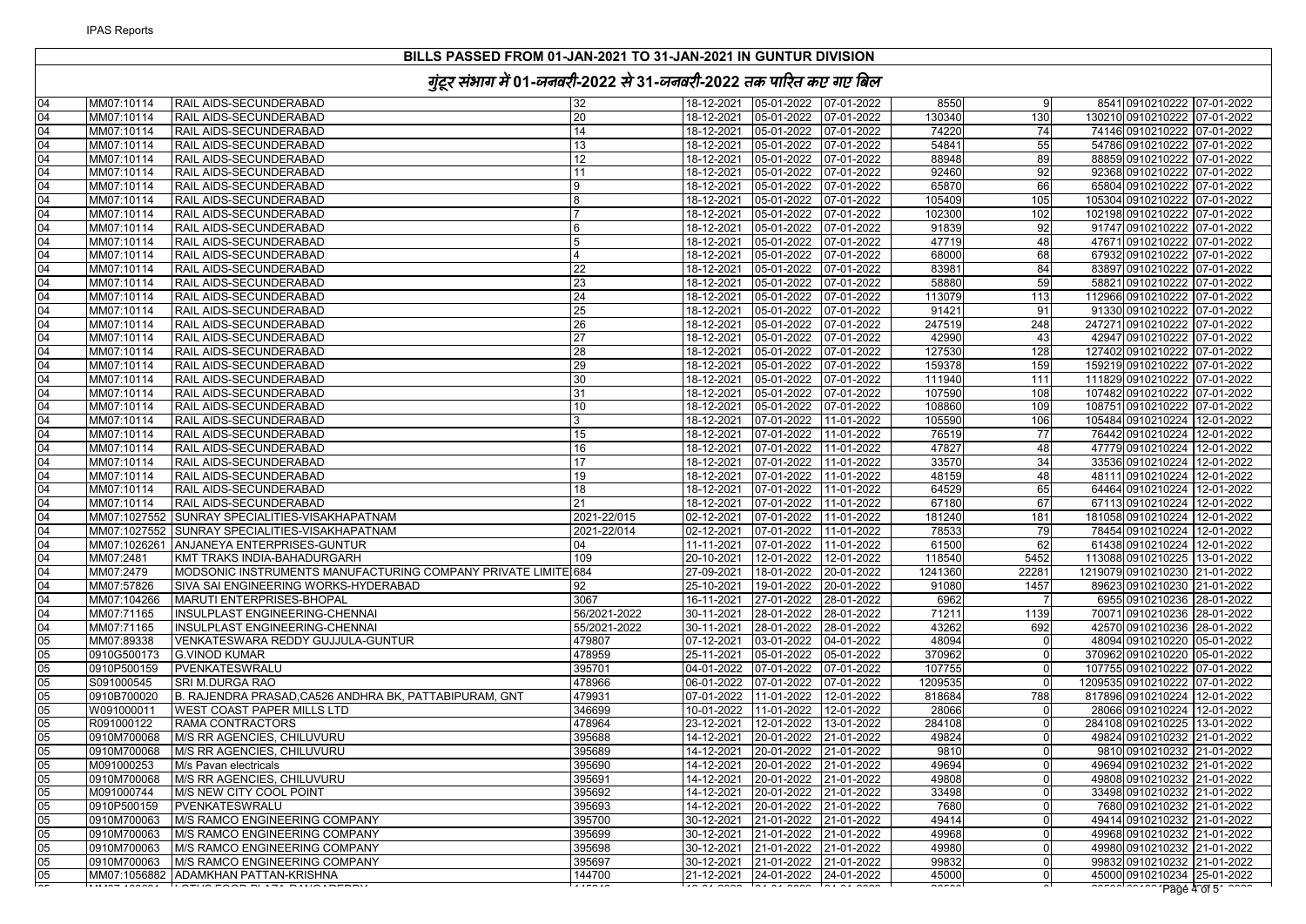| RAIL AIDS-SECUNDERABAD<br>18-12-2021 05-01-2022 07-01-2022<br>8541 0910210222 07-01-2022<br>MM07:10114<br>32<br>8550<br>-9<br>20<br>130340<br>MM07:10114<br>RAIL AIDS-SECUNDERABAD<br>18-12-2021<br>05-01-2022 07-01-2022<br>130<br>130210 0910210222 07-01-2022<br>14<br>74220<br>MM07:10114<br>RAIL AIDS-SECUNDERABAD<br>18-12-2021<br>05-01-2022 07-01-2022<br>74<br>74146 0910210222 07-01-2022<br>13<br>54841<br>55<br>RAIL AIDS-SECUNDERABAD<br>05-01-2022 07-01-2022<br>54786 0910210222 07-01-2022<br>MM07:10114<br>18-12-2021<br>88948<br>MM07:10114<br><b>RAIL AIDS-SECUNDERABAD</b><br>12<br>18-12-2021<br>05-01-2022 07-01-2022<br>89<br>88859 0910210222 07-01-2022<br>92460<br>MM07:10114<br>RAIL AIDS-SECUNDERABAD<br>11<br>18-12-2021<br>05-01-2022 07-01-2022<br>92<br>92368 0910210222 07-01-2022<br>RAIL AIDS-SECUNDERABAD<br>18-12-2021<br>05-01-2022 07-01-2022<br>65870<br>66<br>MM07:10114<br>$\overline{9}$<br>65804 0910210222 07-01-2022<br>105409<br>MM07:10114<br>RAIL AIDS-SECUNDERABAD<br>18-12-2021<br>05-01-2022  07-01-2022<br>105<br>105304 0910210222 07-01-2022<br>MM07:10114<br>RAIL AIDS-SECUNDERABAD<br>18-12-2021<br>05-01-2022 07-01-2022<br>102300<br>102<br>102198 0910210222 07-01-2022<br>RAIL AIDS-SECUNDERABAD<br>91747 0910210222 07-01-2022<br>MM07:10114<br>18-12-2021<br>05-01-2022 07-01-2022<br>91839<br>92<br>MM07:10114<br>RAIL AIDS-SECUNDERABAD<br>05-01-2022 07-01-2022<br>47719<br>$\overline{48}$<br>47671 0910210222 07-01-2022<br>18-12-2021<br>68<br>RAIL AIDS-SECUNDERABAD<br>$\overline{4}$<br>05-01-2022 07-01-2022<br>68000<br>67932 0910210222 07-01-2022<br>MM07:10114<br>18-12-2021<br>22<br>83981<br>84<br>MM07:10114<br>RAIL AIDS-SECUNDERABAD<br>18-12-2021<br>05-01-2022 07-01-2022<br>83897 0910210222 07-01-2022<br>59<br>MM07:10114<br>RAIL AIDS-SECUNDERABAD<br>23<br>18-12-2021<br>05-01-2022 07-01-2022<br>58880<br>58821 0910210222 07-01-2022<br>24<br>RAIL AIDS-SECUNDERABAD<br>113079<br>113<br>MM07:10114<br>18-12-2021<br>05-01-2022 07-01-2022<br>112966 0910210222 07-01-2022<br>MM07:10114<br><b>RAIL AIDS-SECUNDERABAD</b><br>25<br>18-12-2021<br>05-01-2022 07-01-2022<br>91421<br>91<br>91330 0910210222 07-01-2022<br>247519<br>MM07:10114<br>RAIL AIDS-SECUNDERABAD<br>26<br>18-12-2021<br>05-01-2022 07-01-2022<br>248<br>247271 0910210222 07-01-2022<br>27<br>42990<br>MM07:10114<br>RAIL AIDS-SECUNDERABAD<br>18-12-2021<br>05-01-2022<br>07-01-2022<br>43<br>42947 0910210222 07-01-2022<br>RAIL AIDS-SECUNDERABAD<br>28<br>05-01-2022 07-01-2022<br>127530<br>128<br>127402 0910210222 07-01-2022<br>MM07:10114<br>18-12-2021<br>29<br>159<br>MM07:10114<br>RAIL AIDS-SECUNDERABAD<br>18-12-2021<br>05-01-2022 07-01-2022<br>159378<br>159219 0910210222 07-01-2022<br>MM07:10114<br>RAIL AIDS-SECUNDERABAD<br>30<br>18-12-2021<br>05-01-2022 07-01-2022<br>111940<br>111<br>111829 0910210222 07-01-2022<br>107590<br>MM07:10114<br>RAIL AIDS-SECUNDERABAD<br>31<br>18-12-2021<br>05-01-2022 07-01-2022<br>108<br>107482 0910210222 07-01-2022<br>MM07:10114<br>RAIL AIDS-SECUNDERABAD<br>10<br>05-01-2022 07-01-2022<br>108860<br>109<br>108751 0910210222 07-01-2022<br>18-12-2021<br>RAIL AIDS-SECUNDERABAD<br>07-01-2022 11-01-2022<br>105590<br>106<br>MM07:10114<br>$\mathbf{3}$<br>18-12-2021<br>105484 0910210224 12-01-2022<br>76519<br>77<br>MM07:10114<br><b>RAIL AIDS-SECUNDERABAD</b><br>15<br>18-12-2021<br>07-01-2022<br>11-01-2022<br>76442 0910210224 12-01-2022<br>MM07:10114<br>RAIL AIDS-SECUNDERABAD<br>16<br>18-12-2021<br>07-01-2022 11-01-2022<br>47827<br>48<br>47779 0910210224 12-01-2022<br>MM07:10114<br>RAIL AIDS-SECUNDERABAD<br>17<br>18-12-2021<br>07-01-2022 11-01-2022<br>33570<br>34<br>33536 0910210224 12-01-2022<br>48<br>MM07:10114<br>RAIL AIDS-SECUNDERABAD<br>19<br>18-12-2021<br>07-01-2022 11-01-2022<br>48159<br>48111 0910210224 12-01-2022<br>MM07:10114<br>RAIL AIDS-SECUNDERABAD<br>18<br>18-12-2021<br>07-01-2022 11-01-2022<br>64529<br>65<br>64464 0910210224 12-01-2022<br>21<br>67180<br>67<br>67113 0910210224 12-01-2022<br>MM07:10114<br>RAIL AIDS-SECUNDERABAD<br>18-12-2021<br>07-01-2022 11-01-2022<br>2021-22/015<br>MM07:1027552<br>SUNRAY SPECIALITIES-VISAKHAPATNAM<br>02-12-2021 07-01-2022 11-01-2022<br>181240<br>181<br>181058 0910210224 12-01-2022<br>SUNRAY SPECIALITIES-VISAKHAPATNAM<br>78533<br>79<br>78454 0910210224 12-01-2022<br>MM07:1027552<br>2021-22/014<br>02-12-2021<br>07-01-2022 11-01-2022<br>62<br>MM07:1026261 ANJANEYA ENTERPRISES-GUNTUR<br>07-01-2022 11-01-2022<br>61500<br>61438 0910210224 12-01-2022<br>04<br>11-11-2021<br>MM07:2481<br>118540<br>5452<br>KMT TRAKS INDIA-BAHADURGARH<br>109<br>20-10-2021 12-01-2022 12-01-2022<br>113088 0910210225 13-01-2022<br>MODSONIC INSTRUMENTS MANUFACTURING COMPANY PRIVATE LIMITE 684<br>22281<br>MM07:2479<br>27-09-2021<br>18-01-2022 20-01-2022<br>1241360<br>1219079 0910210230 21-01-2022<br>MM07:57826<br>SIVA SAI ENGINEERING WORKS-HYDERABAD<br>92<br>25-10-2021<br>19-01-2022 20-01-2022<br>91080<br>1457<br>89623 0910210230 21-01-2022<br>MARUTI ENTERPRISES-BHOPAL<br>3067<br>27-01-2022 28-01-2022<br>6962<br>MM07:104266<br>16-11-2021<br>6955 0910210236 28-01-2022<br>MM07:71165<br>INSULPLAST ENGINEERING-CHENNAI<br>56/2021-2022<br>30-11-2021<br>28-01-2022<br>28-01-2022<br>71211<br>1139<br>70071 0910210236 28-01-2022<br>INSULPLAST ENGINEERING-CHENNAI<br>43262<br>692<br>MM07:71165<br>55/2021-2022<br>30-11-2021<br>28-01-2022 28-01-2022<br>42570 0910210236 28-01-2022<br>MM07:89338<br>VENKATESWARA REDDY GUJJULA-GUNTUR<br>479807<br>07-12-2021<br>03-01-2022 04-01-2022<br>48094<br>48094 0910210220 05-01-2022<br>370962<br>0910G500173<br>478959<br>25-11-2021<br>05-01-2022 05-01-2022<br>370962 0910210220 05-01-2022<br><b>G.VINOD KUMAR</b><br>$\Omega$<br>0910P500159<br>395701<br>PVENKATESWRALU<br>04-01-2022 07-01-2022 07-01-2022<br>107755<br>107755 0910210222 07-01-2022<br>1209535<br>S091000545<br>SRI M.DURGA RAO<br>478966<br>1209535 0910210222 07-01-2022<br>$\Omega$<br>788<br>B. RAJENDRA PRASAD, CA526 ANDHRA BK, PATTABIPURAM, GNT<br>479931<br>07-01-2022 11-01-2022 12-01-2022<br>818684<br>0910B700020<br>817896 0910210224 12-01-2022<br>W091000011<br><b>WEST COAST PAPER MILLS LTD</b><br>346699<br>10-01-2022 11-01-2022 12-01-2022<br>28066<br>28066 0910210224 12-01-2022<br>R091000122<br>RAMA CONTRACTORS<br>478964<br>23-12-2021 12-01-2022 13-01-2022<br>284108<br>284108 0910210225 13-01-2022<br>M/S RR AGENCIES, CHILUVURU<br>395688<br>20-01-2022<br>49824<br>0910M700068<br>14-12-2021<br>21-01-2022<br>49824 0910210232 21-01-2022<br>0910M700068<br>M/S RR AGENCIES, CHILUVURU<br>395689<br>14-12-2021<br>20-01-2022<br>21-01-2022<br>9810<br>9810 0910210232 21-01-2022<br>395690<br>14-12-2021<br>20-01-2022<br>49694<br>49694 0910210232 21-01-2022<br>M091000253<br>M/s Pavan electricals<br>21-01-2022<br>49808<br>0910M700068<br>M/S RR AGENCIES, CHILUVURU<br>395691<br>14-12-2021<br>20-01-2022 21-01-2022<br>49808 0910210232 21-01-2022<br>33498<br>M091000744<br>M/S NEW CITY COOL POINT<br>395692<br>14-12-2021<br>20-01-2022 21-01-2022<br>33498 0910210232 21-01-2022<br>0910P500159<br>PVENKATESWRALU<br>395693<br>20-01-2022 21-01-2022<br>7680<br>7680 0910210232 21-01-2022<br>14-12-2021<br>$\Omega$<br>M/S RAMCO ENGINEERING COMPANY<br>395700<br>21-01-2022 21-01-2022<br>49414<br>49414 0910210232 21-01-2022<br>0910M700063<br>30-12-2021<br>49968<br>0910M700063<br><b>M/S RAMCO ENGINEERING COMPANY</b><br>395699<br>30-12-2021<br>21-01-2022<br>21-01-2022<br>49968 0910210232 21-01-2022<br>0910M700063<br>M/S RAMCO ENGINEERING COMPANY<br>395698<br>30-12-2021<br>21-01-2022 21-01-2022<br>49980<br>49980 0910210232 21-01-2022<br>M/S RAMCO ENGINEERING COMPANY<br>395697<br>30-12-2021<br>21-01-2022 21-01-2022<br>99832<br>99832 0910210232 21-01-2022<br>0910M700063<br>MM07:1056882 ADAMKHAN PATTAN-KRISHNA<br>21-12-2021 24-01-2022 24-01-2022<br>144700<br>45000<br>45000 0910210234 25-01-2022<br>Page 4 of 5 |    | $38'$ and the state $\alpha$ state $\alpha$ and $\alpha$ and $\alpha$ |  |  |  |  |
|----------------------------------------------------------------------------------------------------------------------------------------------------------------------------------------------------------------------------------------------------------------------------------------------------------------------------------------------------------------------------------------------------------------------------------------------------------------------------------------------------------------------------------------------------------------------------------------------------------------------------------------------------------------------------------------------------------------------------------------------------------------------------------------------------------------------------------------------------------------------------------------------------------------------------------------------------------------------------------------------------------------------------------------------------------------------------------------------------------------------------------------------------------------------------------------------------------------------------------------------------------------------------------------------------------------------------------------------------------------------------------------------------------------------------------------------------------------------------------------------------------------------------------------------------------------------------------------------------------------------------------------------------------------------------------------------------------------------------------------------------------------------------------------------------------------------------------------------------------------------------------------------------------------------------------------------------------------------------------------------------------------------------------------------------------------------------------------------------------------------------------------------------------------------------------------------------------------------------------------------------------------------------------------------------------------------------------------------------------------------------------------------------------------------------------------------------------------------------------------------------------------------------------------------------------------------------------------------------------------------------------------------------------------------------------------------------------------------------------------------------------------------------------------------------------------------------------------------------------------------------------------------------------------------------------------------------------------------------------------------------------------------------------------------------------------------------------------------------------------------------------------------------------------------------------------------------------------------------------------------------------------------------------------------------------------------------------------------------------------------------------------------------------------------------------------------------------------------------------------------------------------------------------------------------------------------------------------------------------------------------------------------------------------------------------------------------------------------------------------------------------------------------------------------------------------------------------------------------------------------------------------------------------------------------------------------------------------------------------------------------------------------------------------------------------------------------------------------------------------------------------------------------------------------------------------------------------------------------------------------------------------------------------------------------------------------------------------------------------------------------------------------------------------------------------------------------------------------------------------------------------------------------------------------------------------------------------------------------------------------------------------------------------------------------------------------------------------------------------------------------------------------------------------------------------------------------------------------------------------------------------------------------------------------------------------------------------------------------------------------------------------------------------------------------------------------------------------------------------------------------------------------------------------------------------------------------------------------------------------------------------------------------------------------------------------------------------------------------------------------------------------------------------------------------------------------------------------------------------------------------------------------------------------------------------------------------------------------------------------------------------------------------------------------------------------------------------------------------------------------------------------------------------------------------------------------------------------------------------------------------------------------------------------------------------------------------------------------------------------------------------------------------------------------------------------------------------------------------------------------------------------------------------------------------------------------------------------------------------------------------------------------------------------------------------------------------------------------------------------------------------------------------------------------------------------------------------------------------------------------------------------------------------------------------------------------------------------------------------------------------------------------------------------------------------------------------------------------------------------------------------------------------------------------------------------------------------------------------------------------------------------------------------------------------------------------------------------------------------------------------------------------------------------------------------------------------------------------------------------------------------------------------------------------------------------------------------------------------------------------------------------------------------------------------------------------------------------------------------------------------------------------------------------------------------------------------------------------------------------------------------------------------------------------------------------------------------------------------------------------------------------------------------------------------------------------------------------------------------------------------------------------------------------------------------------------------------------------------------------------------------------------------------------------------------------------------------------------------------------------------------------------------------------------------------------------------------|----|-----------------------------------------------------------------------|--|--|--|--|
| 04                                                                                                                                                                                                                                                                                                                                                                                                                                                                                                                                                                                                                                                                                                                                                                                                                                                                                                                                                                                                                                                                                                                                                                                                                                                                                                                                                                                                                                                                                                                                                                                                                                                                                                                                                                                                                                                                                                                                                                                                                                                                                                                                                                                                                                                                                                                                                                                                                                                                                                                                                                                                                                                                                                                                                                                                                                                                                                                                                                                                                                                                                                                                                                                                                                                                                                                                                                                                                                                                                                                                                                                                                                                                                                                                                                                                                                                                                                                                                                                                                                                                                                                                                                                                                                                                                                                                                                                                                                                                                                                                                                                                                                                                                                                                                                                                                                                                                                                                                                                                                                                                                                                                                                                                                                                                                                                                                                                                                                                                                                                                                                                                                                                                                                                                                                                                                                                                                                                                                                                                                                                                                                                                                                                                                                                                                                                                                                                                                                                                                                                                                                                                                                                                                                                                                                                                                                                                                                                                                                                                                                                                                                                                                                                                                                                                                                                                                                                                                                                                                                                                                                                                                                                                                                                                                                                                                                                                                                                                                                                                                                                                               | 04 |                                                                       |  |  |  |  |
| 04<br>04<br>04<br>04<br>04<br>04<br>04<br>04<br>04<br>04<br>04<br>04<br>04<br>04<br>04<br>04<br>04<br>04<br>04<br>04<br>04<br>04<br>04<br>04<br>04<br>04<br>04<br>04<br>04<br>04<br>04<br>04<br>04<br>04<br>04<br>04<br>05<br>05<br>05<br>05<br>05<br>05<br>05<br>05<br>05<br>05<br>05<br>05<br>05<br>05<br>05<br>05<br>05<br>05                                                                                                                                                                                                                                                                                                                                                                                                                                                                                                                                                                                                                                                                                                                                                                                                                                                                                                                                                                                                                                                                                                                                                                                                                                                                                                                                                                                                                                                                                                                                                                                                                                                                                                                                                                                                                                                                                                                                                                                                                                                                                                                                                                                                                                                                                                                                                                                                                                                                                                                                                                                                                                                                                                                                                                                                                                                                                                                                                                                                                                                                                                                                                                                                                                                                                                                                                                                                                                                                                                                                                                                                                                                                                                                                                                                                                                                                                                                                                                                                                                                                                                                                                                                                                                                                                                                                                                                                                                                                                                                                                                                                                                                                                                                                                                                                                                                                                                                                                                                                                                                                                                                                                                                                                                                                                                                                                                                                                                                                                                                                                                                                                                                                                                                                                                                                                                                                                                                                                                                                                                                                                                                                                                                                                                                                                                                                                                                                                                                                                                                                                                                                                                                                                                                                                                                                                                                                                                                                                                                                                                                                                                                                                                                                                                                                                                                                                                                                                                                                                                                                                                                                                                                                                                                                                 | 04 |                                                                       |  |  |  |  |
|                                                                                                                                                                                                                                                                                                                                                                                                                                                                                                                                                                                                                                                                                                                                                                                                                                                                                                                                                                                                                                                                                                                                                                                                                                                                                                                                                                                                                                                                                                                                                                                                                                                                                                                                                                                                                                                                                                                                                                                                                                                                                                                                                                                                                                                                                                                                                                                                                                                                                                                                                                                                                                                                                                                                                                                                                                                                                                                                                                                                                                                                                                                                                                                                                                                                                                                                                                                                                                                                                                                                                                                                                                                                                                                                                                                                                                                                                                                                                                                                                                                                                                                                                                                                                                                                                                                                                                                                                                                                                                                                                                                                                                                                                                                                                                                                                                                                                                                                                                                                                                                                                                                                                                                                                                                                                                                                                                                                                                                                                                                                                                                                                                                                                                                                                                                                                                                                                                                                                                                                                                                                                                                                                                                                                                                                                                                                                                                                                                                                                                                                                                                                                                                                                                                                                                                                                                                                                                                                                                                                                                                                                                                                                                                                                                                                                                                                                                                                                                                                                                                                                                                                                                                                                                                                                                                                                                                                                                                                                                                                                                                                                  |    |                                                                       |  |  |  |  |
|                                                                                                                                                                                                                                                                                                                                                                                                                                                                                                                                                                                                                                                                                                                                                                                                                                                                                                                                                                                                                                                                                                                                                                                                                                                                                                                                                                                                                                                                                                                                                                                                                                                                                                                                                                                                                                                                                                                                                                                                                                                                                                                                                                                                                                                                                                                                                                                                                                                                                                                                                                                                                                                                                                                                                                                                                                                                                                                                                                                                                                                                                                                                                                                                                                                                                                                                                                                                                                                                                                                                                                                                                                                                                                                                                                                                                                                                                                                                                                                                                                                                                                                                                                                                                                                                                                                                                                                                                                                                                                                                                                                                                                                                                                                                                                                                                                                                                                                                                                                                                                                                                                                                                                                                                                                                                                                                                                                                                                                                                                                                                                                                                                                                                                                                                                                                                                                                                                                                                                                                                                                                                                                                                                                                                                                                                                                                                                                                                                                                                                                                                                                                                                                                                                                                                                                                                                                                                                                                                                                                                                                                                                                                                                                                                                                                                                                                                                                                                                                                                                                                                                                                                                                                                                                                                                                                                                                                                                                                                                                                                                                                                  |    |                                                                       |  |  |  |  |
|                                                                                                                                                                                                                                                                                                                                                                                                                                                                                                                                                                                                                                                                                                                                                                                                                                                                                                                                                                                                                                                                                                                                                                                                                                                                                                                                                                                                                                                                                                                                                                                                                                                                                                                                                                                                                                                                                                                                                                                                                                                                                                                                                                                                                                                                                                                                                                                                                                                                                                                                                                                                                                                                                                                                                                                                                                                                                                                                                                                                                                                                                                                                                                                                                                                                                                                                                                                                                                                                                                                                                                                                                                                                                                                                                                                                                                                                                                                                                                                                                                                                                                                                                                                                                                                                                                                                                                                                                                                                                                                                                                                                                                                                                                                                                                                                                                                                                                                                                                                                                                                                                                                                                                                                                                                                                                                                                                                                                                                                                                                                                                                                                                                                                                                                                                                                                                                                                                                                                                                                                                                                                                                                                                                                                                                                                                                                                                                                                                                                                                                                                                                                                                                                                                                                                                                                                                                                                                                                                                                                                                                                                                                                                                                                                                                                                                                                                                                                                                                                                                                                                                                                                                                                                                                                                                                                                                                                                                                                                                                                                                                                                  |    |                                                                       |  |  |  |  |
|                                                                                                                                                                                                                                                                                                                                                                                                                                                                                                                                                                                                                                                                                                                                                                                                                                                                                                                                                                                                                                                                                                                                                                                                                                                                                                                                                                                                                                                                                                                                                                                                                                                                                                                                                                                                                                                                                                                                                                                                                                                                                                                                                                                                                                                                                                                                                                                                                                                                                                                                                                                                                                                                                                                                                                                                                                                                                                                                                                                                                                                                                                                                                                                                                                                                                                                                                                                                                                                                                                                                                                                                                                                                                                                                                                                                                                                                                                                                                                                                                                                                                                                                                                                                                                                                                                                                                                                                                                                                                                                                                                                                                                                                                                                                                                                                                                                                                                                                                                                                                                                                                                                                                                                                                                                                                                                                                                                                                                                                                                                                                                                                                                                                                                                                                                                                                                                                                                                                                                                                                                                                                                                                                                                                                                                                                                                                                                                                                                                                                                                                                                                                                                                                                                                                                                                                                                                                                                                                                                                                                                                                                                                                                                                                                                                                                                                                                                                                                                                                                                                                                                                                                                                                                                                                                                                                                                                                                                                                                                                                                                                                                  |    |                                                                       |  |  |  |  |
|                                                                                                                                                                                                                                                                                                                                                                                                                                                                                                                                                                                                                                                                                                                                                                                                                                                                                                                                                                                                                                                                                                                                                                                                                                                                                                                                                                                                                                                                                                                                                                                                                                                                                                                                                                                                                                                                                                                                                                                                                                                                                                                                                                                                                                                                                                                                                                                                                                                                                                                                                                                                                                                                                                                                                                                                                                                                                                                                                                                                                                                                                                                                                                                                                                                                                                                                                                                                                                                                                                                                                                                                                                                                                                                                                                                                                                                                                                                                                                                                                                                                                                                                                                                                                                                                                                                                                                                                                                                                                                                                                                                                                                                                                                                                                                                                                                                                                                                                                                                                                                                                                                                                                                                                                                                                                                                                                                                                                                                                                                                                                                                                                                                                                                                                                                                                                                                                                                                                                                                                                                                                                                                                                                                                                                                                                                                                                                                                                                                                                                                                                                                                                                                                                                                                                                                                                                                                                                                                                                                                                                                                                                                                                                                                                                                                                                                                                                                                                                                                                                                                                                                                                                                                                                                                                                                                                                                                                                                                                                                                                                                                                  |    |                                                                       |  |  |  |  |
|                                                                                                                                                                                                                                                                                                                                                                                                                                                                                                                                                                                                                                                                                                                                                                                                                                                                                                                                                                                                                                                                                                                                                                                                                                                                                                                                                                                                                                                                                                                                                                                                                                                                                                                                                                                                                                                                                                                                                                                                                                                                                                                                                                                                                                                                                                                                                                                                                                                                                                                                                                                                                                                                                                                                                                                                                                                                                                                                                                                                                                                                                                                                                                                                                                                                                                                                                                                                                                                                                                                                                                                                                                                                                                                                                                                                                                                                                                                                                                                                                                                                                                                                                                                                                                                                                                                                                                                                                                                                                                                                                                                                                                                                                                                                                                                                                                                                                                                                                                                                                                                                                                                                                                                                                                                                                                                                                                                                                                                                                                                                                                                                                                                                                                                                                                                                                                                                                                                                                                                                                                                                                                                                                                                                                                                                                                                                                                                                                                                                                                                                                                                                                                                                                                                                                                                                                                                                                                                                                                                                                                                                                                                                                                                                                                                                                                                                                                                                                                                                                                                                                                                                                                                                                                                                                                                                                                                                                                                                                                                                                                                                                  |    |                                                                       |  |  |  |  |
|                                                                                                                                                                                                                                                                                                                                                                                                                                                                                                                                                                                                                                                                                                                                                                                                                                                                                                                                                                                                                                                                                                                                                                                                                                                                                                                                                                                                                                                                                                                                                                                                                                                                                                                                                                                                                                                                                                                                                                                                                                                                                                                                                                                                                                                                                                                                                                                                                                                                                                                                                                                                                                                                                                                                                                                                                                                                                                                                                                                                                                                                                                                                                                                                                                                                                                                                                                                                                                                                                                                                                                                                                                                                                                                                                                                                                                                                                                                                                                                                                                                                                                                                                                                                                                                                                                                                                                                                                                                                                                                                                                                                                                                                                                                                                                                                                                                                                                                                                                                                                                                                                                                                                                                                                                                                                                                                                                                                                                                                                                                                                                                                                                                                                                                                                                                                                                                                                                                                                                                                                                                                                                                                                                                                                                                                                                                                                                                                                                                                                                                                                                                                                                                                                                                                                                                                                                                                                                                                                                                                                                                                                                                                                                                                                                                                                                                                                                                                                                                                                                                                                                                                                                                                                                                                                                                                                                                                                                                                                                                                                                                                                  |    |                                                                       |  |  |  |  |
|                                                                                                                                                                                                                                                                                                                                                                                                                                                                                                                                                                                                                                                                                                                                                                                                                                                                                                                                                                                                                                                                                                                                                                                                                                                                                                                                                                                                                                                                                                                                                                                                                                                                                                                                                                                                                                                                                                                                                                                                                                                                                                                                                                                                                                                                                                                                                                                                                                                                                                                                                                                                                                                                                                                                                                                                                                                                                                                                                                                                                                                                                                                                                                                                                                                                                                                                                                                                                                                                                                                                                                                                                                                                                                                                                                                                                                                                                                                                                                                                                                                                                                                                                                                                                                                                                                                                                                                                                                                                                                                                                                                                                                                                                                                                                                                                                                                                                                                                                                                                                                                                                                                                                                                                                                                                                                                                                                                                                                                                                                                                                                                                                                                                                                                                                                                                                                                                                                                                                                                                                                                                                                                                                                                                                                                                                                                                                                                                                                                                                                                                                                                                                                                                                                                                                                                                                                                                                                                                                                                                                                                                                                                                                                                                                                                                                                                                                                                                                                                                                                                                                                                                                                                                                                                                                                                                                                                                                                                                                                                                                                                                                  |    |                                                                       |  |  |  |  |
|                                                                                                                                                                                                                                                                                                                                                                                                                                                                                                                                                                                                                                                                                                                                                                                                                                                                                                                                                                                                                                                                                                                                                                                                                                                                                                                                                                                                                                                                                                                                                                                                                                                                                                                                                                                                                                                                                                                                                                                                                                                                                                                                                                                                                                                                                                                                                                                                                                                                                                                                                                                                                                                                                                                                                                                                                                                                                                                                                                                                                                                                                                                                                                                                                                                                                                                                                                                                                                                                                                                                                                                                                                                                                                                                                                                                                                                                                                                                                                                                                                                                                                                                                                                                                                                                                                                                                                                                                                                                                                                                                                                                                                                                                                                                                                                                                                                                                                                                                                                                                                                                                                                                                                                                                                                                                                                                                                                                                                                                                                                                                                                                                                                                                                                                                                                                                                                                                                                                                                                                                                                                                                                                                                                                                                                                                                                                                                                                                                                                                                                                                                                                                                                                                                                                                                                                                                                                                                                                                                                                                                                                                                                                                                                                                                                                                                                                                                                                                                                                                                                                                                                                                                                                                                                                                                                                                                                                                                                                                                                                                                                                                  |    |                                                                       |  |  |  |  |
|                                                                                                                                                                                                                                                                                                                                                                                                                                                                                                                                                                                                                                                                                                                                                                                                                                                                                                                                                                                                                                                                                                                                                                                                                                                                                                                                                                                                                                                                                                                                                                                                                                                                                                                                                                                                                                                                                                                                                                                                                                                                                                                                                                                                                                                                                                                                                                                                                                                                                                                                                                                                                                                                                                                                                                                                                                                                                                                                                                                                                                                                                                                                                                                                                                                                                                                                                                                                                                                                                                                                                                                                                                                                                                                                                                                                                                                                                                                                                                                                                                                                                                                                                                                                                                                                                                                                                                                                                                                                                                                                                                                                                                                                                                                                                                                                                                                                                                                                                                                                                                                                                                                                                                                                                                                                                                                                                                                                                                                                                                                                                                                                                                                                                                                                                                                                                                                                                                                                                                                                                                                                                                                                                                                                                                                                                                                                                                                                                                                                                                                                                                                                                                                                                                                                                                                                                                                                                                                                                                                                                                                                                                                                                                                                                                                                                                                                                                                                                                                                                                                                                                                                                                                                                                                                                                                                                                                                                                                                                                                                                                                                                  |    |                                                                       |  |  |  |  |
|                                                                                                                                                                                                                                                                                                                                                                                                                                                                                                                                                                                                                                                                                                                                                                                                                                                                                                                                                                                                                                                                                                                                                                                                                                                                                                                                                                                                                                                                                                                                                                                                                                                                                                                                                                                                                                                                                                                                                                                                                                                                                                                                                                                                                                                                                                                                                                                                                                                                                                                                                                                                                                                                                                                                                                                                                                                                                                                                                                                                                                                                                                                                                                                                                                                                                                                                                                                                                                                                                                                                                                                                                                                                                                                                                                                                                                                                                                                                                                                                                                                                                                                                                                                                                                                                                                                                                                                                                                                                                                                                                                                                                                                                                                                                                                                                                                                                                                                                                                                                                                                                                                                                                                                                                                                                                                                                                                                                                                                                                                                                                                                                                                                                                                                                                                                                                                                                                                                                                                                                                                                                                                                                                                                                                                                                                                                                                                                                                                                                                                                                                                                                                                                                                                                                                                                                                                                                                                                                                                                                                                                                                                                                                                                                                                                                                                                                                                                                                                                                                                                                                                                                                                                                                                                                                                                                                                                                                                                                                                                                                                                                                  |    |                                                                       |  |  |  |  |
|                                                                                                                                                                                                                                                                                                                                                                                                                                                                                                                                                                                                                                                                                                                                                                                                                                                                                                                                                                                                                                                                                                                                                                                                                                                                                                                                                                                                                                                                                                                                                                                                                                                                                                                                                                                                                                                                                                                                                                                                                                                                                                                                                                                                                                                                                                                                                                                                                                                                                                                                                                                                                                                                                                                                                                                                                                                                                                                                                                                                                                                                                                                                                                                                                                                                                                                                                                                                                                                                                                                                                                                                                                                                                                                                                                                                                                                                                                                                                                                                                                                                                                                                                                                                                                                                                                                                                                                                                                                                                                                                                                                                                                                                                                                                                                                                                                                                                                                                                                                                                                                                                                                                                                                                                                                                                                                                                                                                                                                                                                                                                                                                                                                                                                                                                                                                                                                                                                                                                                                                                                                                                                                                                                                                                                                                                                                                                                                                                                                                                                                                                                                                                                                                                                                                                                                                                                                                                                                                                                                                                                                                                                                                                                                                                                                                                                                                                                                                                                                                                                                                                                                                                                                                                                                                                                                                                                                                                                                                                                                                                                                                                  |    |                                                                       |  |  |  |  |
|                                                                                                                                                                                                                                                                                                                                                                                                                                                                                                                                                                                                                                                                                                                                                                                                                                                                                                                                                                                                                                                                                                                                                                                                                                                                                                                                                                                                                                                                                                                                                                                                                                                                                                                                                                                                                                                                                                                                                                                                                                                                                                                                                                                                                                                                                                                                                                                                                                                                                                                                                                                                                                                                                                                                                                                                                                                                                                                                                                                                                                                                                                                                                                                                                                                                                                                                                                                                                                                                                                                                                                                                                                                                                                                                                                                                                                                                                                                                                                                                                                                                                                                                                                                                                                                                                                                                                                                                                                                                                                                                                                                                                                                                                                                                                                                                                                                                                                                                                                                                                                                                                                                                                                                                                                                                                                                                                                                                                                                                                                                                                                                                                                                                                                                                                                                                                                                                                                                                                                                                                                                                                                                                                                                                                                                                                                                                                                                                                                                                                                                                                                                                                                                                                                                                                                                                                                                                                                                                                                                                                                                                                                                                                                                                                                                                                                                                                                                                                                                                                                                                                                                                                                                                                                                                                                                                                                                                                                                                                                                                                                                                                  |    |                                                                       |  |  |  |  |
|                                                                                                                                                                                                                                                                                                                                                                                                                                                                                                                                                                                                                                                                                                                                                                                                                                                                                                                                                                                                                                                                                                                                                                                                                                                                                                                                                                                                                                                                                                                                                                                                                                                                                                                                                                                                                                                                                                                                                                                                                                                                                                                                                                                                                                                                                                                                                                                                                                                                                                                                                                                                                                                                                                                                                                                                                                                                                                                                                                                                                                                                                                                                                                                                                                                                                                                                                                                                                                                                                                                                                                                                                                                                                                                                                                                                                                                                                                                                                                                                                                                                                                                                                                                                                                                                                                                                                                                                                                                                                                                                                                                                                                                                                                                                                                                                                                                                                                                                                                                                                                                                                                                                                                                                                                                                                                                                                                                                                                                                                                                                                                                                                                                                                                                                                                                                                                                                                                                                                                                                                                                                                                                                                                                                                                                                                                                                                                                                                                                                                                                                                                                                                                                                                                                                                                                                                                                                                                                                                                                                                                                                                                                                                                                                                                                                                                                                                                                                                                                                                                                                                                                                                                                                                                                                                                                                                                                                                                                                                                                                                                                                                  |    |                                                                       |  |  |  |  |
|                                                                                                                                                                                                                                                                                                                                                                                                                                                                                                                                                                                                                                                                                                                                                                                                                                                                                                                                                                                                                                                                                                                                                                                                                                                                                                                                                                                                                                                                                                                                                                                                                                                                                                                                                                                                                                                                                                                                                                                                                                                                                                                                                                                                                                                                                                                                                                                                                                                                                                                                                                                                                                                                                                                                                                                                                                                                                                                                                                                                                                                                                                                                                                                                                                                                                                                                                                                                                                                                                                                                                                                                                                                                                                                                                                                                                                                                                                                                                                                                                                                                                                                                                                                                                                                                                                                                                                                                                                                                                                                                                                                                                                                                                                                                                                                                                                                                                                                                                                                                                                                                                                                                                                                                                                                                                                                                                                                                                                                                                                                                                                                                                                                                                                                                                                                                                                                                                                                                                                                                                                                                                                                                                                                                                                                                                                                                                                                                                                                                                                                                                                                                                                                                                                                                                                                                                                                                                                                                                                                                                                                                                                                                                                                                                                                                                                                                                                                                                                                                                                                                                                                                                                                                                                                                                                                                                                                                                                                                                                                                                                                                                  |    |                                                                       |  |  |  |  |
|                                                                                                                                                                                                                                                                                                                                                                                                                                                                                                                                                                                                                                                                                                                                                                                                                                                                                                                                                                                                                                                                                                                                                                                                                                                                                                                                                                                                                                                                                                                                                                                                                                                                                                                                                                                                                                                                                                                                                                                                                                                                                                                                                                                                                                                                                                                                                                                                                                                                                                                                                                                                                                                                                                                                                                                                                                                                                                                                                                                                                                                                                                                                                                                                                                                                                                                                                                                                                                                                                                                                                                                                                                                                                                                                                                                                                                                                                                                                                                                                                                                                                                                                                                                                                                                                                                                                                                                                                                                                                                                                                                                                                                                                                                                                                                                                                                                                                                                                                                                                                                                                                                                                                                                                                                                                                                                                                                                                                                                                                                                                                                                                                                                                                                                                                                                                                                                                                                                                                                                                                                                                                                                                                                                                                                                                                                                                                                                                                                                                                                                                                                                                                                                                                                                                                                                                                                                                                                                                                                                                                                                                                                                                                                                                                                                                                                                                                                                                                                                                                                                                                                                                                                                                                                                                                                                                                                                                                                                                                                                                                                                                                  |    |                                                                       |  |  |  |  |
|                                                                                                                                                                                                                                                                                                                                                                                                                                                                                                                                                                                                                                                                                                                                                                                                                                                                                                                                                                                                                                                                                                                                                                                                                                                                                                                                                                                                                                                                                                                                                                                                                                                                                                                                                                                                                                                                                                                                                                                                                                                                                                                                                                                                                                                                                                                                                                                                                                                                                                                                                                                                                                                                                                                                                                                                                                                                                                                                                                                                                                                                                                                                                                                                                                                                                                                                                                                                                                                                                                                                                                                                                                                                                                                                                                                                                                                                                                                                                                                                                                                                                                                                                                                                                                                                                                                                                                                                                                                                                                                                                                                                                                                                                                                                                                                                                                                                                                                                                                                                                                                                                                                                                                                                                                                                                                                                                                                                                                                                                                                                                                                                                                                                                                                                                                                                                                                                                                                                                                                                                                                                                                                                                                                                                                                                                                                                                                                                                                                                                                                                                                                                                                                                                                                                                                                                                                                                                                                                                                                                                                                                                                                                                                                                                                                                                                                                                                                                                                                                                                                                                                                                                                                                                                                                                                                                                                                                                                                                                                                                                                                                                  |    |                                                                       |  |  |  |  |
|                                                                                                                                                                                                                                                                                                                                                                                                                                                                                                                                                                                                                                                                                                                                                                                                                                                                                                                                                                                                                                                                                                                                                                                                                                                                                                                                                                                                                                                                                                                                                                                                                                                                                                                                                                                                                                                                                                                                                                                                                                                                                                                                                                                                                                                                                                                                                                                                                                                                                                                                                                                                                                                                                                                                                                                                                                                                                                                                                                                                                                                                                                                                                                                                                                                                                                                                                                                                                                                                                                                                                                                                                                                                                                                                                                                                                                                                                                                                                                                                                                                                                                                                                                                                                                                                                                                                                                                                                                                                                                                                                                                                                                                                                                                                                                                                                                                                                                                                                                                                                                                                                                                                                                                                                                                                                                                                                                                                                                                                                                                                                                                                                                                                                                                                                                                                                                                                                                                                                                                                                                                                                                                                                                                                                                                                                                                                                                                                                                                                                                                                                                                                                                                                                                                                                                                                                                                                                                                                                                                                                                                                                                                                                                                                                                                                                                                                                                                                                                                                                                                                                                                                                                                                                                                                                                                                                                                                                                                                                                                                                                                                                  |    |                                                                       |  |  |  |  |
|                                                                                                                                                                                                                                                                                                                                                                                                                                                                                                                                                                                                                                                                                                                                                                                                                                                                                                                                                                                                                                                                                                                                                                                                                                                                                                                                                                                                                                                                                                                                                                                                                                                                                                                                                                                                                                                                                                                                                                                                                                                                                                                                                                                                                                                                                                                                                                                                                                                                                                                                                                                                                                                                                                                                                                                                                                                                                                                                                                                                                                                                                                                                                                                                                                                                                                                                                                                                                                                                                                                                                                                                                                                                                                                                                                                                                                                                                                                                                                                                                                                                                                                                                                                                                                                                                                                                                                                                                                                                                                                                                                                                                                                                                                                                                                                                                                                                                                                                                                                                                                                                                                                                                                                                                                                                                                                                                                                                                                                                                                                                                                                                                                                                                                                                                                                                                                                                                                                                                                                                                                                                                                                                                                                                                                                                                                                                                                                                                                                                                                                                                                                                                                                                                                                                                                                                                                                                                                                                                                                                                                                                                                                                                                                                                                                                                                                                                                                                                                                                                                                                                                                                                                                                                                                                                                                                                                                                                                                                                                                                                                                                                  |    |                                                                       |  |  |  |  |
|                                                                                                                                                                                                                                                                                                                                                                                                                                                                                                                                                                                                                                                                                                                                                                                                                                                                                                                                                                                                                                                                                                                                                                                                                                                                                                                                                                                                                                                                                                                                                                                                                                                                                                                                                                                                                                                                                                                                                                                                                                                                                                                                                                                                                                                                                                                                                                                                                                                                                                                                                                                                                                                                                                                                                                                                                                                                                                                                                                                                                                                                                                                                                                                                                                                                                                                                                                                                                                                                                                                                                                                                                                                                                                                                                                                                                                                                                                                                                                                                                                                                                                                                                                                                                                                                                                                                                                                                                                                                                                                                                                                                                                                                                                                                                                                                                                                                                                                                                                                                                                                                                                                                                                                                                                                                                                                                                                                                                                                                                                                                                                                                                                                                                                                                                                                                                                                                                                                                                                                                                                                                                                                                                                                                                                                                                                                                                                                                                                                                                                                                                                                                                                                                                                                                                                                                                                                                                                                                                                                                                                                                                                                                                                                                                                                                                                                                                                                                                                                                                                                                                                                                                                                                                                                                                                                                                                                                                                                                                                                                                                                                                  |    |                                                                       |  |  |  |  |
|                                                                                                                                                                                                                                                                                                                                                                                                                                                                                                                                                                                                                                                                                                                                                                                                                                                                                                                                                                                                                                                                                                                                                                                                                                                                                                                                                                                                                                                                                                                                                                                                                                                                                                                                                                                                                                                                                                                                                                                                                                                                                                                                                                                                                                                                                                                                                                                                                                                                                                                                                                                                                                                                                                                                                                                                                                                                                                                                                                                                                                                                                                                                                                                                                                                                                                                                                                                                                                                                                                                                                                                                                                                                                                                                                                                                                                                                                                                                                                                                                                                                                                                                                                                                                                                                                                                                                                                                                                                                                                                                                                                                                                                                                                                                                                                                                                                                                                                                                                                                                                                                                                                                                                                                                                                                                                                                                                                                                                                                                                                                                                                                                                                                                                                                                                                                                                                                                                                                                                                                                                                                                                                                                                                                                                                                                                                                                                                                                                                                                                                                                                                                                                                                                                                                                                                                                                                                                                                                                                                                                                                                                                                                                                                                                                                                                                                                                                                                                                                                                                                                                                                                                                                                                                                                                                                                                                                                                                                                                                                                                                                                                  |    |                                                                       |  |  |  |  |
|                                                                                                                                                                                                                                                                                                                                                                                                                                                                                                                                                                                                                                                                                                                                                                                                                                                                                                                                                                                                                                                                                                                                                                                                                                                                                                                                                                                                                                                                                                                                                                                                                                                                                                                                                                                                                                                                                                                                                                                                                                                                                                                                                                                                                                                                                                                                                                                                                                                                                                                                                                                                                                                                                                                                                                                                                                                                                                                                                                                                                                                                                                                                                                                                                                                                                                                                                                                                                                                                                                                                                                                                                                                                                                                                                                                                                                                                                                                                                                                                                                                                                                                                                                                                                                                                                                                                                                                                                                                                                                                                                                                                                                                                                                                                                                                                                                                                                                                                                                                                                                                                                                                                                                                                                                                                                                                                                                                                                                                                                                                                                                                                                                                                                                                                                                                                                                                                                                                                                                                                                                                                                                                                                                                                                                                                                                                                                                                                                                                                                                                                                                                                                                                                                                                                                                                                                                                                                                                                                                                                                                                                                                                                                                                                                                                                                                                                                                                                                                                                                                                                                                                                                                                                                                                                                                                                                                                                                                                                                                                                                                                                                  |    |                                                                       |  |  |  |  |
|                                                                                                                                                                                                                                                                                                                                                                                                                                                                                                                                                                                                                                                                                                                                                                                                                                                                                                                                                                                                                                                                                                                                                                                                                                                                                                                                                                                                                                                                                                                                                                                                                                                                                                                                                                                                                                                                                                                                                                                                                                                                                                                                                                                                                                                                                                                                                                                                                                                                                                                                                                                                                                                                                                                                                                                                                                                                                                                                                                                                                                                                                                                                                                                                                                                                                                                                                                                                                                                                                                                                                                                                                                                                                                                                                                                                                                                                                                                                                                                                                                                                                                                                                                                                                                                                                                                                                                                                                                                                                                                                                                                                                                                                                                                                                                                                                                                                                                                                                                                                                                                                                                                                                                                                                                                                                                                                                                                                                                                                                                                                                                                                                                                                                                                                                                                                                                                                                                                                                                                                                                                                                                                                                                                                                                                                                                                                                                                                                                                                                                                                                                                                                                                                                                                                                                                                                                                                                                                                                                                                                                                                                                                                                                                                                                                                                                                                                                                                                                                                                                                                                                                                                                                                                                                                                                                                                                                                                                                                                                                                                                                                                  |    |                                                                       |  |  |  |  |
|                                                                                                                                                                                                                                                                                                                                                                                                                                                                                                                                                                                                                                                                                                                                                                                                                                                                                                                                                                                                                                                                                                                                                                                                                                                                                                                                                                                                                                                                                                                                                                                                                                                                                                                                                                                                                                                                                                                                                                                                                                                                                                                                                                                                                                                                                                                                                                                                                                                                                                                                                                                                                                                                                                                                                                                                                                                                                                                                                                                                                                                                                                                                                                                                                                                                                                                                                                                                                                                                                                                                                                                                                                                                                                                                                                                                                                                                                                                                                                                                                                                                                                                                                                                                                                                                                                                                                                                                                                                                                                                                                                                                                                                                                                                                                                                                                                                                                                                                                                                                                                                                                                                                                                                                                                                                                                                                                                                                                                                                                                                                                                                                                                                                                                                                                                                                                                                                                                                                                                                                                                                                                                                                                                                                                                                                                                                                                                                                                                                                                                                                                                                                                                                                                                                                                                                                                                                                                                                                                                                                                                                                                                                                                                                                                                                                                                                                                                                                                                                                                                                                                                                                                                                                                                                                                                                                                                                                                                                                                                                                                                                                                  |    |                                                                       |  |  |  |  |
|                                                                                                                                                                                                                                                                                                                                                                                                                                                                                                                                                                                                                                                                                                                                                                                                                                                                                                                                                                                                                                                                                                                                                                                                                                                                                                                                                                                                                                                                                                                                                                                                                                                                                                                                                                                                                                                                                                                                                                                                                                                                                                                                                                                                                                                                                                                                                                                                                                                                                                                                                                                                                                                                                                                                                                                                                                                                                                                                                                                                                                                                                                                                                                                                                                                                                                                                                                                                                                                                                                                                                                                                                                                                                                                                                                                                                                                                                                                                                                                                                                                                                                                                                                                                                                                                                                                                                                                                                                                                                                                                                                                                                                                                                                                                                                                                                                                                                                                                                                                                                                                                                                                                                                                                                                                                                                                                                                                                                                                                                                                                                                                                                                                                                                                                                                                                                                                                                                                                                                                                                                                                                                                                                                                                                                                                                                                                                                                                                                                                                                                                                                                                                                                                                                                                                                                                                                                                                                                                                                                                                                                                                                                                                                                                                                                                                                                                                                                                                                                                                                                                                                                                                                                                                                                                                                                                                                                                                                                                                                                                                                                                                  |    |                                                                       |  |  |  |  |
|                                                                                                                                                                                                                                                                                                                                                                                                                                                                                                                                                                                                                                                                                                                                                                                                                                                                                                                                                                                                                                                                                                                                                                                                                                                                                                                                                                                                                                                                                                                                                                                                                                                                                                                                                                                                                                                                                                                                                                                                                                                                                                                                                                                                                                                                                                                                                                                                                                                                                                                                                                                                                                                                                                                                                                                                                                                                                                                                                                                                                                                                                                                                                                                                                                                                                                                                                                                                                                                                                                                                                                                                                                                                                                                                                                                                                                                                                                                                                                                                                                                                                                                                                                                                                                                                                                                                                                                                                                                                                                                                                                                                                                                                                                                                                                                                                                                                                                                                                                                                                                                                                                                                                                                                                                                                                                                                                                                                                                                                                                                                                                                                                                                                                                                                                                                                                                                                                                                                                                                                                                                                                                                                                                                                                                                                                                                                                                                                                                                                                                                                                                                                                                                                                                                                                                                                                                                                                                                                                                                                                                                                                                                                                                                                                                                                                                                                                                                                                                                                                                                                                                                                                                                                                                                                                                                                                                                                                                                                                                                                                                                                                  |    |                                                                       |  |  |  |  |
|                                                                                                                                                                                                                                                                                                                                                                                                                                                                                                                                                                                                                                                                                                                                                                                                                                                                                                                                                                                                                                                                                                                                                                                                                                                                                                                                                                                                                                                                                                                                                                                                                                                                                                                                                                                                                                                                                                                                                                                                                                                                                                                                                                                                                                                                                                                                                                                                                                                                                                                                                                                                                                                                                                                                                                                                                                                                                                                                                                                                                                                                                                                                                                                                                                                                                                                                                                                                                                                                                                                                                                                                                                                                                                                                                                                                                                                                                                                                                                                                                                                                                                                                                                                                                                                                                                                                                                                                                                                                                                                                                                                                                                                                                                                                                                                                                                                                                                                                                                                                                                                                                                                                                                                                                                                                                                                                                                                                                                                                                                                                                                                                                                                                                                                                                                                                                                                                                                                                                                                                                                                                                                                                                                                                                                                                                                                                                                                                                                                                                                                                                                                                                                                                                                                                                                                                                                                                                                                                                                                                                                                                                                                                                                                                                                                                                                                                                                                                                                                                                                                                                                                                                                                                                                                                                                                                                                                                                                                                                                                                                                                                                  |    |                                                                       |  |  |  |  |
|                                                                                                                                                                                                                                                                                                                                                                                                                                                                                                                                                                                                                                                                                                                                                                                                                                                                                                                                                                                                                                                                                                                                                                                                                                                                                                                                                                                                                                                                                                                                                                                                                                                                                                                                                                                                                                                                                                                                                                                                                                                                                                                                                                                                                                                                                                                                                                                                                                                                                                                                                                                                                                                                                                                                                                                                                                                                                                                                                                                                                                                                                                                                                                                                                                                                                                                                                                                                                                                                                                                                                                                                                                                                                                                                                                                                                                                                                                                                                                                                                                                                                                                                                                                                                                                                                                                                                                                                                                                                                                                                                                                                                                                                                                                                                                                                                                                                                                                                                                                                                                                                                                                                                                                                                                                                                                                                                                                                                                                                                                                                                                                                                                                                                                                                                                                                                                                                                                                                                                                                                                                                                                                                                                                                                                                                                                                                                                                                                                                                                                                                                                                                                                                                                                                                                                                                                                                                                                                                                                                                                                                                                                                                                                                                                                                                                                                                                                                                                                                                                                                                                                                                                                                                                                                                                                                                                                                                                                                                                                                                                                                                                  |    |                                                                       |  |  |  |  |
|                                                                                                                                                                                                                                                                                                                                                                                                                                                                                                                                                                                                                                                                                                                                                                                                                                                                                                                                                                                                                                                                                                                                                                                                                                                                                                                                                                                                                                                                                                                                                                                                                                                                                                                                                                                                                                                                                                                                                                                                                                                                                                                                                                                                                                                                                                                                                                                                                                                                                                                                                                                                                                                                                                                                                                                                                                                                                                                                                                                                                                                                                                                                                                                                                                                                                                                                                                                                                                                                                                                                                                                                                                                                                                                                                                                                                                                                                                                                                                                                                                                                                                                                                                                                                                                                                                                                                                                                                                                                                                                                                                                                                                                                                                                                                                                                                                                                                                                                                                                                                                                                                                                                                                                                                                                                                                                                                                                                                                                                                                                                                                                                                                                                                                                                                                                                                                                                                                                                                                                                                                                                                                                                                                                                                                                                                                                                                                                                                                                                                                                                                                                                                                                                                                                                                                                                                                                                                                                                                                                                                                                                                                                                                                                                                                                                                                                                                                                                                                                                                                                                                                                                                                                                                                                                                                                                                                                                                                                                                                                                                                                                                  |    |                                                                       |  |  |  |  |
|                                                                                                                                                                                                                                                                                                                                                                                                                                                                                                                                                                                                                                                                                                                                                                                                                                                                                                                                                                                                                                                                                                                                                                                                                                                                                                                                                                                                                                                                                                                                                                                                                                                                                                                                                                                                                                                                                                                                                                                                                                                                                                                                                                                                                                                                                                                                                                                                                                                                                                                                                                                                                                                                                                                                                                                                                                                                                                                                                                                                                                                                                                                                                                                                                                                                                                                                                                                                                                                                                                                                                                                                                                                                                                                                                                                                                                                                                                                                                                                                                                                                                                                                                                                                                                                                                                                                                                                                                                                                                                                                                                                                                                                                                                                                                                                                                                                                                                                                                                                                                                                                                                                                                                                                                                                                                                                                                                                                                                                                                                                                                                                                                                                                                                                                                                                                                                                                                                                                                                                                                                                                                                                                                                                                                                                                                                                                                                                                                                                                                                                                                                                                                                                                                                                                                                                                                                                                                                                                                                                                                                                                                                                                                                                                                                                                                                                                                                                                                                                                                                                                                                                                                                                                                                                                                                                                                                                                                                                                                                                                                                                                                  |    |                                                                       |  |  |  |  |
|                                                                                                                                                                                                                                                                                                                                                                                                                                                                                                                                                                                                                                                                                                                                                                                                                                                                                                                                                                                                                                                                                                                                                                                                                                                                                                                                                                                                                                                                                                                                                                                                                                                                                                                                                                                                                                                                                                                                                                                                                                                                                                                                                                                                                                                                                                                                                                                                                                                                                                                                                                                                                                                                                                                                                                                                                                                                                                                                                                                                                                                                                                                                                                                                                                                                                                                                                                                                                                                                                                                                                                                                                                                                                                                                                                                                                                                                                                                                                                                                                                                                                                                                                                                                                                                                                                                                                                                                                                                                                                                                                                                                                                                                                                                                                                                                                                                                                                                                                                                                                                                                                                                                                                                                                                                                                                                                                                                                                                                                                                                                                                                                                                                                                                                                                                                                                                                                                                                                                                                                                                                                                                                                                                                                                                                                                                                                                                                                                                                                                                                                                                                                                                                                                                                                                                                                                                                                                                                                                                                                                                                                                                                                                                                                                                                                                                                                                                                                                                                                                                                                                                                                                                                                                                                                                                                                                                                                                                                                                                                                                                                                                  |    |                                                                       |  |  |  |  |
|                                                                                                                                                                                                                                                                                                                                                                                                                                                                                                                                                                                                                                                                                                                                                                                                                                                                                                                                                                                                                                                                                                                                                                                                                                                                                                                                                                                                                                                                                                                                                                                                                                                                                                                                                                                                                                                                                                                                                                                                                                                                                                                                                                                                                                                                                                                                                                                                                                                                                                                                                                                                                                                                                                                                                                                                                                                                                                                                                                                                                                                                                                                                                                                                                                                                                                                                                                                                                                                                                                                                                                                                                                                                                                                                                                                                                                                                                                                                                                                                                                                                                                                                                                                                                                                                                                                                                                                                                                                                                                                                                                                                                                                                                                                                                                                                                                                                                                                                                                                                                                                                                                                                                                                                                                                                                                                                                                                                                                                                                                                                                                                                                                                                                                                                                                                                                                                                                                                                                                                                                                                                                                                                                                                                                                                                                                                                                                                                                                                                                                                                                                                                                                                                                                                                                                                                                                                                                                                                                                                                                                                                                                                                                                                                                                                                                                                                                                                                                                                                                                                                                                                                                                                                                                                                                                                                                                                                                                                                                                                                                                                                                  |    |                                                                       |  |  |  |  |
|                                                                                                                                                                                                                                                                                                                                                                                                                                                                                                                                                                                                                                                                                                                                                                                                                                                                                                                                                                                                                                                                                                                                                                                                                                                                                                                                                                                                                                                                                                                                                                                                                                                                                                                                                                                                                                                                                                                                                                                                                                                                                                                                                                                                                                                                                                                                                                                                                                                                                                                                                                                                                                                                                                                                                                                                                                                                                                                                                                                                                                                                                                                                                                                                                                                                                                                                                                                                                                                                                                                                                                                                                                                                                                                                                                                                                                                                                                                                                                                                                                                                                                                                                                                                                                                                                                                                                                                                                                                                                                                                                                                                                                                                                                                                                                                                                                                                                                                                                                                                                                                                                                                                                                                                                                                                                                                                                                                                                                                                                                                                                                                                                                                                                                                                                                                                                                                                                                                                                                                                                                                                                                                                                                                                                                                                                                                                                                                                                                                                                                                                                                                                                                                                                                                                                                                                                                                                                                                                                                                                                                                                                                                                                                                                                                                                                                                                                                                                                                                                                                                                                                                                                                                                                                                                                                                                                                                                                                                                                                                                                                                                                  |    |                                                                       |  |  |  |  |
|                                                                                                                                                                                                                                                                                                                                                                                                                                                                                                                                                                                                                                                                                                                                                                                                                                                                                                                                                                                                                                                                                                                                                                                                                                                                                                                                                                                                                                                                                                                                                                                                                                                                                                                                                                                                                                                                                                                                                                                                                                                                                                                                                                                                                                                                                                                                                                                                                                                                                                                                                                                                                                                                                                                                                                                                                                                                                                                                                                                                                                                                                                                                                                                                                                                                                                                                                                                                                                                                                                                                                                                                                                                                                                                                                                                                                                                                                                                                                                                                                                                                                                                                                                                                                                                                                                                                                                                                                                                                                                                                                                                                                                                                                                                                                                                                                                                                                                                                                                                                                                                                                                                                                                                                                                                                                                                                                                                                                                                                                                                                                                                                                                                                                                                                                                                                                                                                                                                                                                                                                                                                                                                                                                                                                                                                                                                                                                                                                                                                                                                                                                                                                                                                                                                                                                                                                                                                                                                                                                                                                                                                                                                                                                                                                                                                                                                                                                                                                                                                                                                                                                                                                                                                                                                                                                                                                                                                                                                                                                                                                                                                                  |    |                                                                       |  |  |  |  |
|                                                                                                                                                                                                                                                                                                                                                                                                                                                                                                                                                                                                                                                                                                                                                                                                                                                                                                                                                                                                                                                                                                                                                                                                                                                                                                                                                                                                                                                                                                                                                                                                                                                                                                                                                                                                                                                                                                                                                                                                                                                                                                                                                                                                                                                                                                                                                                                                                                                                                                                                                                                                                                                                                                                                                                                                                                                                                                                                                                                                                                                                                                                                                                                                                                                                                                                                                                                                                                                                                                                                                                                                                                                                                                                                                                                                                                                                                                                                                                                                                                                                                                                                                                                                                                                                                                                                                                                                                                                                                                                                                                                                                                                                                                                                                                                                                                                                                                                                                                                                                                                                                                                                                                                                                                                                                                                                                                                                                                                                                                                                                                                                                                                                                                                                                                                                                                                                                                                                                                                                                                                                                                                                                                                                                                                                                                                                                                                                                                                                                                                                                                                                                                                                                                                                                                                                                                                                                                                                                                                                                                                                                                                                                                                                                                                                                                                                                                                                                                                                                                                                                                                                                                                                                                                                                                                                                                                                                                                                                                                                                                                                                  |    |                                                                       |  |  |  |  |
|                                                                                                                                                                                                                                                                                                                                                                                                                                                                                                                                                                                                                                                                                                                                                                                                                                                                                                                                                                                                                                                                                                                                                                                                                                                                                                                                                                                                                                                                                                                                                                                                                                                                                                                                                                                                                                                                                                                                                                                                                                                                                                                                                                                                                                                                                                                                                                                                                                                                                                                                                                                                                                                                                                                                                                                                                                                                                                                                                                                                                                                                                                                                                                                                                                                                                                                                                                                                                                                                                                                                                                                                                                                                                                                                                                                                                                                                                                                                                                                                                                                                                                                                                                                                                                                                                                                                                                                                                                                                                                                                                                                                                                                                                                                                                                                                                                                                                                                                                                                                                                                                                                                                                                                                                                                                                                                                                                                                                                                                                                                                                                                                                                                                                                                                                                                                                                                                                                                                                                                                                                                                                                                                                                                                                                                                                                                                                                                                                                                                                                                                                                                                                                                                                                                                                                                                                                                                                                                                                                                                                                                                                                                                                                                                                                                                                                                                                                                                                                                                                                                                                                                                                                                                                                                                                                                                                                                                                                                                                                                                                                                                                  |    |                                                                       |  |  |  |  |
|                                                                                                                                                                                                                                                                                                                                                                                                                                                                                                                                                                                                                                                                                                                                                                                                                                                                                                                                                                                                                                                                                                                                                                                                                                                                                                                                                                                                                                                                                                                                                                                                                                                                                                                                                                                                                                                                                                                                                                                                                                                                                                                                                                                                                                                                                                                                                                                                                                                                                                                                                                                                                                                                                                                                                                                                                                                                                                                                                                                                                                                                                                                                                                                                                                                                                                                                                                                                                                                                                                                                                                                                                                                                                                                                                                                                                                                                                                                                                                                                                                                                                                                                                                                                                                                                                                                                                                                                                                                                                                                                                                                                                                                                                                                                                                                                                                                                                                                                                                                                                                                                                                                                                                                                                                                                                                                                                                                                                                                                                                                                                                                                                                                                                                                                                                                                                                                                                                                                                                                                                                                                                                                                                                                                                                                                                                                                                                                                                                                                                                                                                                                                                                                                                                                                                                                                                                                                                                                                                                                                                                                                                                                                                                                                                                                                                                                                                                                                                                                                                                                                                                                                                                                                                                                                                                                                                                                                                                                                                                                                                                                                                  |    |                                                                       |  |  |  |  |
|                                                                                                                                                                                                                                                                                                                                                                                                                                                                                                                                                                                                                                                                                                                                                                                                                                                                                                                                                                                                                                                                                                                                                                                                                                                                                                                                                                                                                                                                                                                                                                                                                                                                                                                                                                                                                                                                                                                                                                                                                                                                                                                                                                                                                                                                                                                                                                                                                                                                                                                                                                                                                                                                                                                                                                                                                                                                                                                                                                                                                                                                                                                                                                                                                                                                                                                                                                                                                                                                                                                                                                                                                                                                                                                                                                                                                                                                                                                                                                                                                                                                                                                                                                                                                                                                                                                                                                                                                                                                                                                                                                                                                                                                                                                                                                                                                                                                                                                                                                                                                                                                                                                                                                                                                                                                                                                                                                                                                                                                                                                                                                                                                                                                                                                                                                                                                                                                                                                                                                                                                                                                                                                                                                                                                                                                                                                                                                                                                                                                                                                                                                                                                                                                                                                                                                                                                                                                                                                                                                                                                                                                                                                                                                                                                                                                                                                                                                                                                                                                                                                                                                                                                                                                                                                                                                                                                                                                                                                                                                                                                                                                                  |    |                                                                       |  |  |  |  |
|                                                                                                                                                                                                                                                                                                                                                                                                                                                                                                                                                                                                                                                                                                                                                                                                                                                                                                                                                                                                                                                                                                                                                                                                                                                                                                                                                                                                                                                                                                                                                                                                                                                                                                                                                                                                                                                                                                                                                                                                                                                                                                                                                                                                                                                                                                                                                                                                                                                                                                                                                                                                                                                                                                                                                                                                                                                                                                                                                                                                                                                                                                                                                                                                                                                                                                                                                                                                                                                                                                                                                                                                                                                                                                                                                                                                                                                                                                                                                                                                                                                                                                                                                                                                                                                                                                                                                                                                                                                                                                                                                                                                                                                                                                                                                                                                                                                                                                                                                                                                                                                                                                                                                                                                                                                                                                                                                                                                                                                                                                                                                                                                                                                                                                                                                                                                                                                                                                                                                                                                                                                                                                                                                                                                                                                                                                                                                                                                                                                                                                                                                                                                                                                                                                                                                                                                                                                                                                                                                                                                                                                                                                                                                                                                                                                                                                                                                                                                                                                                                                                                                                                                                                                                                                                                                                                                                                                                                                                                                                                                                                                                                  |    |                                                                       |  |  |  |  |
|                                                                                                                                                                                                                                                                                                                                                                                                                                                                                                                                                                                                                                                                                                                                                                                                                                                                                                                                                                                                                                                                                                                                                                                                                                                                                                                                                                                                                                                                                                                                                                                                                                                                                                                                                                                                                                                                                                                                                                                                                                                                                                                                                                                                                                                                                                                                                                                                                                                                                                                                                                                                                                                                                                                                                                                                                                                                                                                                                                                                                                                                                                                                                                                                                                                                                                                                                                                                                                                                                                                                                                                                                                                                                                                                                                                                                                                                                                                                                                                                                                                                                                                                                                                                                                                                                                                                                                                                                                                                                                                                                                                                                                                                                                                                                                                                                                                                                                                                                                                                                                                                                                                                                                                                                                                                                                                                                                                                                                                                                                                                                                                                                                                                                                                                                                                                                                                                                                                                                                                                                                                                                                                                                                                                                                                                                                                                                                                                                                                                                                                                                                                                                                                                                                                                                                                                                                                                                                                                                                                                                                                                                                                                                                                                                                                                                                                                                                                                                                                                                                                                                                                                                                                                                                                                                                                                                                                                                                                                                                                                                                                                                  |    |                                                                       |  |  |  |  |
|                                                                                                                                                                                                                                                                                                                                                                                                                                                                                                                                                                                                                                                                                                                                                                                                                                                                                                                                                                                                                                                                                                                                                                                                                                                                                                                                                                                                                                                                                                                                                                                                                                                                                                                                                                                                                                                                                                                                                                                                                                                                                                                                                                                                                                                                                                                                                                                                                                                                                                                                                                                                                                                                                                                                                                                                                                                                                                                                                                                                                                                                                                                                                                                                                                                                                                                                                                                                                                                                                                                                                                                                                                                                                                                                                                                                                                                                                                                                                                                                                                                                                                                                                                                                                                                                                                                                                                                                                                                                                                                                                                                                                                                                                                                                                                                                                                                                                                                                                                                                                                                                                                                                                                                                                                                                                                                                                                                                                                                                                                                                                                                                                                                                                                                                                                                                                                                                                                                                                                                                                                                                                                                                                                                                                                                                                                                                                                                                                                                                                                                                                                                                                                                                                                                                                                                                                                                                                                                                                                                                                                                                                                                                                                                                                                                                                                                                                                                                                                                                                                                                                                                                                                                                                                                                                                                                                                                                                                                                                                                                                                                                                  |    |                                                                       |  |  |  |  |
|                                                                                                                                                                                                                                                                                                                                                                                                                                                                                                                                                                                                                                                                                                                                                                                                                                                                                                                                                                                                                                                                                                                                                                                                                                                                                                                                                                                                                                                                                                                                                                                                                                                                                                                                                                                                                                                                                                                                                                                                                                                                                                                                                                                                                                                                                                                                                                                                                                                                                                                                                                                                                                                                                                                                                                                                                                                                                                                                                                                                                                                                                                                                                                                                                                                                                                                                                                                                                                                                                                                                                                                                                                                                                                                                                                                                                                                                                                                                                                                                                                                                                                                                                                                                                                                                                                                                                                                                                                                                                                                                                                                                                                                                                                                                                                                                                                                                                                                                                                                                                                                                                                                                                                                                                                                                                                                                                                                                                                                                                                                                                                                                                                                                                                                                                                                                                                                                                                                                                                                                                                                                                                                                                                                                                                                                                                                                                                                                                                                                                                                                                                                                                                                                                                                                                                                                                                                                                                                                                                                                                                                                                                                                                                                                                                                                                                                                                                                                                                                                                                                                                                                                                                                                                                                                                                                                                                                                                                                                                                                                                                                                                  |    |                                                                       |  |  |  |  |
|                                                                                                                                                                                                                                                                                                                                                                                                                                                                                                                                                                                                                                                                                                                                                                                                                                                                                                                                                                                                                                                                                                                                                                                                                                                                                                                                                                                                                                                                                                                                                                                                                                                                                                                                                                                                                                                                                                                                                                                                                                                                                                                                                                                                                                                                                                                                                                                                                                                                                                                                                                                                                                                                                                                                                                                                                                                                                                                                                                                                                                                                                                                                                                                                                                                                                                                                                                                                                                                                                                                                                                                                                                                                                                                                                                                                                                                                                                                                                                                                                                                                                                                                                                                                                                                                                                                                                                                                                                                                                                                                                                                                                                                                                                                                                                                                                                                                                                                                                                                                                                                                                                                                                                                                                                                                                                                                                                                                                                                                                                                                                                                                                                                                                                                                                                                                                                                                                                                                                                                                                                                                                                                                                                                                                                                                                                                                                                                                                                                                                                                                                                                                                                                                                                                                                                                                                                                                                                                                                                                                                                                                                                                                                                                                                                                                                                                                                                                                                                                                                                                                                                                                                                                                                                                                                                                                                                                                                                                                                                                                                                                                                  |    |                                                                       |  |  |  |  |
|                                                                                                                                                                                                                                                                                                                                                                                                                                                                                                                                                                                                                                                                                                                                                                                                                                                                                                                                                                                                                                                                                                                                                                                                                                                                                                                                                                                                                                                                                                                                                                                                                                                                                                                                                                                                                                                                                                                                                                                                                                                                                                                                                                                                                                                                                                                                                                                                                                                                                                                                                                                                                                                                                                                                                                                                                                                                                                                                                                                                                                                                                                                                                                                                                                                                                                                                                                                                                                                                                                                                                                                                                                                                                                                                                                                                                                                                                                                                                                                                                                                                                                                                                                                                                                                                                                                                                                                                                                                                                                                                                                                                                                                                                                                                                                                                                                                                                                                                                                                                                                                                                                                                                                                                                                                                                                                                                                                                                                                                                                                                                                                                                                                                                                                                                                                                                                                                                                                                                                                                                                                                                                                                                                                                                                                                                                                                                                                                                                                                                                                                                                                                                                                                                                                                                                                                                                                                                                                                                                                                                                                                                                                                                                                                                                                                                                                                                                                                                                                                                                                                                                                                                                                                                                                                                                                                                                                                                                                                                                                                                                                                                  |    |                                                                       |  |  |  |  |
|                                                                                                                                                                                                                                                                                                                                                                                                                                                                                                                                                                                                                                                                                                                                                                                                                                                                                                                                                                                                                                                                                                                                                                                                                                                                                                                                                                                                                                                                                                                                                                                                                                                                                                                                                                                                                                                                                                                                                                                                                                                                                                                                                                                                                                                                                                                                                                                                                                                                                                                                                                                                                                                                                                                                                                                                                                                                                                                                                                                                                                                                                                                                                                                                                                                                                                                                                                                                                                                                                                                                                                                                                                                                                                                                                                                                                                                                                                                                                                                                                                                                                                                                                                                                                                                                                                                                                                                                                                                                                                                                                                                                                                                                                                                                                                                                                                                                                                                                                                                                                                                                                                                                                                                                                                                                                                                                                                                                                                                                                                                                                                                                                                                                                                                                                                                                                                                                                                                                                                                                                                                                                                                                                                                                                                                                                                                                                                                                                                                                                                                                                                                                                                                                                                                                                                                                                                                                                                                                                                                                                                                                                                                                                                                                                                                                                                                                                                                                                                                                                                                                                                                                                                                                                                                                                                                                                                                                                                                                                                                                                                                                                  |    |                                                                       |  |  |  |  |
|                                                                                                                                                                                                                                                                                                                                                                                                                                                                                                                                                                                                                                                                                                                                                                                                                                                                                                                                                                                                                                                                                                                                                                                                                                                                                                                                                                                                                                                                                                                                                                                                                                                                                                                                                                                                                                                                                                                                                                                                                                                                                                                                                                                                                                                                                                                                                                                                                                                                                                                                                                                                                                                                                                                                                                                                                                                                                                                                                                                                                                                                                                                                                                                                                                                                                                                                                                                                                                                                                                                                                                                                                                                                                                                                                                                                                                                                                                                                                                                                                                                                                                                                                                                                                                                                                                                                                                                                                                                                                                                                                                                                                                                                                                                                                                                                                                                                                                                                                                                                                                                                                                                                                                                                                                                                                                                                                                                                                                                                                                                                                                                                                                                                                                                                                                                                                                                                                                                                                                                                                                                                                                                                                                                                                                                                                                                                                                                                                                                                                                                                                                                                                                                                                                                                                                                                                                                                                                                                                                                                                                                                                                                                                                                                                                                                                                                                                                                                                                                                                                                                                                                                                                                                                                                                                                                                                                                                                                                                                                                                                                                                                  |    |                                                                       |  |  |  |  |
|                                                                                                                                                                                                                                                                                                                                                                                                                                                                                                                                                                                                                                                                                                                                                                                                                                                                                                                                                                                                                                                                                                                                                                                                                                                                                                                                                                                                                                                                                                                                                                                                                                                                                                                                                                                                                                                                                                                                                                                                                                                                                                                                                                                                                                                                                                                                                                                                                                                                                                                                                                                                                                                                                                                                                                                                                                                                                                                                                                                                                                                                                                                                                                                                                                                                                                                                                                                                                                                                                                                                                                                                                                                                                                                                                                                                                                                                                                                                                                                                                                                                                                                                                                                                                                                                                                                                                                                                                                                                                                                                                                                                                                                                                                                                                                                                                                                                                                                                                                                                                                                                                                                                                                                                                                                                                                                                                                                                                                                                                                                                                                                                                                                                                                                                                                                                                                                                                                                                                                                                                                                                                                                                                                                                                                                                                                                                                                                                                                                                                                                                                                                                                                                                                                                                                                                                                                                                                                                                                                                                                                                                                                                                                                                                                                                                                                                                                                                                                                                                                                                                                                                                                                                                                                                                                                                                                                                                                                                                                                                                                                                                                  |    |                                                                       |  |  |  |  |
|                                                                                                                                                                                                                                                                                                                                                                                                                                                                                                                                                                                                                                                                                                                                                                                                                                                                                                                                                                                                                                                                                                                                                                                                                                                                                                                                                                                                                                                                                                                                                                                                                                                                                                                                                                                                                                                                                                                                                                                                                                                                                                                                                                                                                                                                                                                                                                                                                                                                                                                                                                                                                                                                                                                                                                                                                                                                                                                                                                                                                                                                                                                                                                                                                                                                                                                                                                                                                                                                                                                                                                                                                                                                                                                                                                                                                                                                                                                                                                                                                                                                                                                                                                                                                                                                                                                                                                                                                                                                                                                                                                                                                                                                                                                                                                                                                                                                                                                                                                                                                                                                                                                                                                                                                                                                                                                                                                                                                                                                                                                                                                                                                                                                                                                                                                                                                                                                                                                                                                                                                                                                                                                                                                                                                                                                                                                                                                                                                                                                                                                                                                                                                                                                                                                                                                                                                                                                                                                                                                                                                                                                                                                                                                                                                                                                                                                                                                                                                                                                                                                                                                                                                                                                                                                                                                                                                                                                                                                                                                                                                                                                                  |    |                                                                       |  |  |  |  |
|                                                                                                                                                                                                                                                                                                                                                                                                                                                                                                                                                                                                                                                                                                                                                                                                                                                                                                                                                                                                                                                                                                                                                                                                                                                                                                                                                                                                                                                                                                                                                                                                                                                                                                                                                                                                                                                                                                                                                                                                                                                                                                                                                                                                                                                                                                                                                                                                                                                                                                                                                                                                                                                                                                                                                                                                                                                                                                                                                                                                                                                                                                                                                                                                                                                                                                                                                                                                                                                                                                                                                                                                                                                                                                                                                                                                                                                                                                                                                                                                                                                                                                                                                                                                                                                                                                                                                                                                                                                                                                                                                                                                                                                                                                                                                                                                                                                                                                                                                                                                                                                                                                                                                                                                                                                                                                                                                                                                                                                                                                                                                                                                                                                                                                                                                                                                                                                                                                                                                                                                                                                                                                                                                                                                                                                                                                                                                                                                                                                                                                                                                                                                                                                                                                                                                                                                                                                                                                                                                                                                                                                                                                                                                                                                                                                                                                                                                                                                                                                                                                                                                                                                                                                                                                                                                                                                                                                                                                                                                                                                                                                                                  |    |                                                                       |  |  |  |  |
|                                                                                                                                                                                                                                                                                                                                                                                                                                                                                                                                                                                                                                                                                                                                                                                                                                                                                                                                                                                                                                                                                                                                                                                                                                                                                                                                                                                                                                                                                                                                                                                                                                                                                                                                                                                                                                                                                                                                                                                                                                                                                                                                                                                                                                                                                                                                                                                                                                                                                                                                                                                                                                                                                                                                                                                                                                                                                                                                                                                                                                                                                                                                                                                                                                                                                                                                                                                                                                                                                                                                                                                                                                                                                                                                                                                                                                                                                                                                                                                                                                                                                                                                                                                                                                                                                                                                                                                                                                                                                                                                                                                                                                                                                                                                                                                                                                                                                                                                                                                                                                                                                                                                                                                                                                                                                                                                                                                                                                                                                                                                                                                                                                                                                                                                                                                                                                                                                                                                                                                                                                                                                                                                                                                                                                                                                                                                                                                                                                                                                                                                                                                                                                                                                                                                                                                                                                                                                                                                                                                                                                                                                                                                                                                                                                                                                                                                                                                                                                                                                                                                                                                                                                                                                                                                                                                                                                                                                                                                                                                                                                                                                  |    |                                                                       |  |  |  |  |
|                                                                                                                                                                                                                                                                                                                                                                                                                                                                                                                                                                                                                                                                                                                                                                                                                                                                                                                                                                                                                                                                                                                                                                                                                                                                                                                                                                                                                                                                                                                                                                                                                                                                                                                                                                                                                                                                                                                                                                                                                                                                                                                                                                                                                                                                                                                                                                                                                                                                                                                                                                                                                                                                                                                                                                                                                                                                                                                                                                                                                                                                                                                                                                                                                                                                                                                                                                                                                                                                                                                                                                                                                                                                                                                                                                                                                                                                                                                                                                                                                                                                                                                                                                                                                                                                                                                                                                                                                                                                                                                                                                                                                                                                                                                                                                                                                                                                                                                                                                                                                                                                                                                                                                                                                                                                                                                                                                                                                                                                                                                                                                                                                                                                                                                                                                                                                                                                                                                                                                                                                                                                                                                                                                                                                                                                                                                                                                                                                                                                                                                                                                                                                                                                                                                                                                                                                                                                                                                                                                                                                                                                                                                                                                                                                                                                                                                                                                                                                                                                                                                                                                                                                                                                                                                                                                                                                                                                                                                                                                                                                                                                                  |    |                                                                       |  |  |  |  |
|                                                                                                                                                                                                                                                                                                                                                                                                                                                                                                                                                                                                                                                                                                                                                                                                                                                                                                                                                                                                                                                                                                                                                                                                                                                                                                                                                                                                                                                                                                                                                                                                                                                                                                                                                                                                                                                                                                                                                                                                                                                                                                                                                                                                                                                                                                                                                                                                                                                                                                                                                                                                                                                                                                                                                                                                                                                                                                                                                                                                                                                                                                                                                                                                                                                                                                                                                                                                                                                                                                                                                                                                                                                                                                                                                                                                                                                                                                                                                                                                                                                                                                                                                                                                                                                                                                                                                                                                                                                                                                                                                                                                                                                                                                                                                                                                                                                                                                                                                                                                                                                                                                                                                                                                                                                                                                                                                                                                                                                                                                                                                                                                                                                                                                                                                                                                                                                                                                                                                                                                                                                                                                                                                                                                                                                                                                                                                                                                                                                                                                                                                                                                                                                                                                                                                                                                                                                                                                                                                                                                                                                                                                                                                                                                                                                                                                                                                                                                                                                                                                                                                                                                                                                                                                                                                                                                                                                                                                                                                                                                                                                                                  |    |                                                                       |  |  |  |  |
|                                                                                                                                                                                                                                                                                                                                                                                                                                                                                                                                                                                                                                                                                                                                                                                                                                                                                                                                                                                                                                                                                                                                                                                                                                                                                                                                                                                                                                                                                                                                                                                                                                                                                                                                                                                                                                                                                                                                                                                                                                                                                                                                                                                                                                                                                                                                                                                                                                                                                                                                                                                                                                                                                                                                                                                                                                                                                                                                                                                                                                                                                                                                                                                                                                                                                                                                                                                                                                                                                                                                                                                                                                                                                                                                                                                                                                                                                                                                                                                                                                                                                                                                                                                                                                                                                                                                                                                                                                                                                                                                                                                                                                                                                                                                                                                                                                                                                                                                                                                                                                                                                                                                                                                                                                                                                                                                                                                                                                                                                                                                                                                                                                                                                                                                                                                                                                                                                                                                                                                                                                                                                                                                                                                                                                                                                                                                                                                                                                                                                                                                                                                                                                                                                                                                                                                                                                                                                                                                                                                                                                                                                                                                                                                                                                                                                                                                                                                                                                                                                                                                                                                                                                                                                                                                                                                                                                                                                                                                                                                                                                                                                  |    |                                                                       |  |  |  |  |
|                                                                                                                                                                                                                                                                                                                                                                                                                                                                                                                                                                                                                                                                                                                                                                                                                                                                                                                                                                                                                                                                                                                                                                                                                                                                                                                                                                                                                                                                                                                                                                                                                                                                                                                                                                                                                                                                                                                                                                                                                                                                                                                                                                                                                                                                                                                                                                                                                                                                                                                                                                                                                                                                                                                                                                                                                                                                                                                                                                                                                                                                                                                                                                                                                                                                                                                                                                                                                                                                                                                                                                                                                                                                                                                                                                                                                                                                                                                                                                                                                                                                                                                                                                                                                                                                                                                                                                                                                                                                                                                                                                                                                                                                                                                                                                                                                                                                                                                                                                                                                                                                                                                                                                                                                                                                                                                                                                                                                                                                                                                                                                                                                                                                                                                                                                                                                                                                                                                                                                                                                                                                                                                                                                                                                                                                                                                                                                                                                                                                                                                                                                                                                                                                                                                                                                                                                                                                                                                                                                                                                                                                                                                                                                                                                                                                                                                                                                                                                                                                                                                                                                                                                                                                                                                                                                                                                                                                                                                                                                                                                                                                                  |    |                                                                       |  |  |  |  |
|                                                                                                                                                                                                                                                                                                                                                                                                                                                                                                                                                                                                                                                                                                                                                                                                                                                                                                                                                                                                                                                                                                                                                                                                                                                                                                                                                                                                                                                                                                                                                                                                                                                                                                                                                                                                                                                                                                                                                                                                                                                                                                                                                                                                                                                                                                                                                                                                                                                                                                                                                                                                                                                                                                                                                                                                                                                                                                                                                                                                                                                                                                                                                                                                                                                                                                                                                                                                                                                                                                                                                                                                                                                                                                                                                                                                                                                                                                                                                                                                                                                                                                                                                                                                                                                                                                                                                                                                                                                                                                                                                                                                                                                                                                                                                                                                                                                                                                                                                                                                                                                                                                                                                                                                                                                                                                                                                                                                                                                                                                                                                                                                                                                                                                                                                                                                                                                                                                                                                                                                                                                                                                                                                                                                                                                                                                                                                                                                                                                                                                                                                                                                                                                                                                                                                                                                                                                                                                                                                                                                                                                                                                                                                                                                                                                                                                                                                                                                                                                                                                                                                                                                                                                                                                                                                                                                                                                                                                                                                                                                                                                                                  |    |                                                                       |  |  |  |  |
|                                                                                                                                                                                                                                                                                                                                                                                                                                                                                                                                                                                                                                                                                                                                                                                                                                                                                                                                                                                                                                                                                                                                                                                                                                                                                                                                                                                                                                                                                                                                                                                                                                                                                                                                                                                                                                                                                                                                                                                                                                                                                                                                                                                                                                                                                                                                                                                                                                                                                                                                                                                                                                                                                                                                                                                                                                                                                                                                                                                                                                                                                                                                                                                                                                                                                                                                                                                                                                                                                                                                                                                                                                                                                                                                                                                                                                                                                                                                                                                                                                                                                                                                                                                                                                                                                                                                                                                                                                                                                                                                                                                                                                                                                                                                                                                                                                                                                                                                                                                                                                                                                                                                                                                                                                                                                                                                                                                                                                                                                                                                                                                                                                                                                                                                                                                                                                                                                                                                                                                                                                                                                                                                                                                                                                                                                                                                                                                                                                                                                                                                                                                                                                                                                                                                                                                                                                                                                                                                                                                                                                                                                                                                                                                                                                                                                                                                                                                                                                                                                                                                                                                                                                                                                                                                                                                                                                                                                                                                                                                                                                                                                  |    |                                                                       |  |  |  |  |
|                                                                                                                                                                                                                                                                                                                                                                                                                                                                                                                                                                                                                                                                                                                                                                                                                                                                                                                                                                                                                                                                                                                                                                                                                                                                                                                                                                                                                                                                                                                                                                                                                                                                                                                                                                                                                                                                                                                                                                                                                                                                                                                                                                                                                                                                                                                                                                                                                                                                                                                                                                                                                                                                                                                                                                                                                                                                                                                                                                                                                                                                                                                                                                                                                                                                                                                                                                                                                                                                                                                                                                                                                                                                                                                                                                                                                                                                                                                                                                                                                                                                                                                                                                                                                                                                                                                                                                                                                                                                                                                                                                                                                                                                                                                                                                                                                                                                                                                                                                                                                                                                                                                                                                                                                                                                                                                                                                                                                                                                                                                                                                                                                                                                                                                                                                                                                                                                                                                                                                                                                                                                                                                                                                                                                                                                                                                                                                                                                                                                                                                                                                                                                                                                                                                                                                                                                                                                                                                                                                                                                                                                                                                                                                                                                                                                                                                                                                                                                                                                                                                                                                                                                                                                                                                                                                                                                                                                                                                                                                                                                                                                                  |    |                                                                       |  |  |  |  |